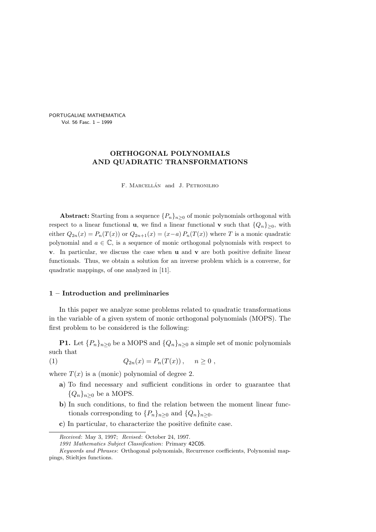PORTUGALIAE MATHEMATICA Vol. 56 Fasc. 1 – 1999

# ORTHOGONAL POLYNOMIALS AND QUADRATIC TRANSFORMATIONS

F. MARCELLÁN and J. PETRONILHO

Abstract: Starting from a sequence  $\{P_n\}_{n\geq 0}$  of monic polynomials orthogonal with respect to a linear functional **u**, we find a linear functional **v** such that  $\{Q_n\}_{n\geq 0}$ , with either  $Q_{2n}(x) = P_n(T(x))$  or  $Q_{2n+1}(x) = (x-a) P_n(T(x))$  where T is a monic quadratic polynomial and  $a \in \mathbb{C}$ , is a sequence of monic orthogonal polynomials with respect to  $\bf{v}$ . In particular, we discuss the case when **u** and **v** are both positive definite linear functionals. Thus, we obtain a solution for an inverse problem which is a converse, for quadratic mappings, of one analyzed in [11].

# 1 – Introduction and preliminaries

In this paper we analyze some problems related to quadratic transformations in the variable of a given system of monic orthogonal polynomials (MOPS). The first problem to be considered is the following:

**P1.** Let  $\{P_n\}_{n>0}$  be a MOPS and  $\{Q_n\}_{n>0}$  a simple set of monic polynomials such that

(1) 
$$
Q_{2n}(x) = P_n(T(x)), \quad n \ge 0
$$
,

where  $T(x)$  is a (monic) polynomial of degree 2.

- a) To find necessary and sufficient conditions in order to guarantee that  ${Q_n}_{n>0}$  be a MOPS.
- b) In such conditions, to find the relation between the moment linear functionals corresponding to  $\{P_n\}_{n>0}$  and  $\{Q_n\}_{n>0}$ .
- c) In particular, to characterize the positive definite case.

Received: May 3, 1997; Revised: October 24, 1997.

<sup>1991</sup> Mathematics Subject Classification: Primary 42C05.

Keywords and Phrases: Orthogonal polynomials, Recurrence coefficients, Polynomial mappings, Stieltjes functions.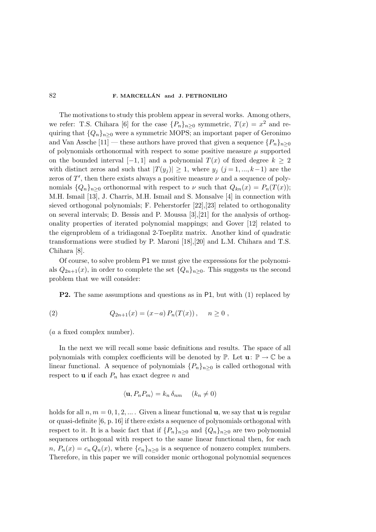The motivations to study this problem appear in several works. Among others, we refer: T.S. Chihara [6] for the case  $\{P_n\}_{n\geq 0}$  symmetric,  $T(x) = x^2$  and requiring that  $\{Q_n\}_{n\geq 0}$  were a symmetric MOPS; an important paper of Geronimo and Van Assche [11] — these authors have proved that given a sequence  $\{P_n\}_{n\geq 0}$ of polynomials orthonormal with respect to some positive measure  $\mu$  supported on the bounded interval [−1, 1] and a polynomial  $T(x)$  of fixed degree  $k \geq 2$ with distinct zeros and such that  $|T(y_i)| \geq 1$ , where  $y_j$   $(j = 1, ..., k-1)$  are the zeros of  $T'$ , then there exists always a positive measure  $\nu$  and a sequence of polynomials  $\{Q_n\}_{n\geq 0}$  orthonormal with respect to  $\nu$  such that  $Q_{kn}(x) = P_n(T(x));$ M.H. Ismail [13], J. Charris, M.H. Ismail and S. Monsalve [4] in connection with sieved orthogonal polynomials; F. Peherstorfer [22],[23] related to orthogonality on several intervals; D. Bessis and P. Moussa [3],[21] for the analysis of orthogonality properties of iterated polynomial mappings; and Gover [12] related to the eigenproblem of a tridiagonal 2-Toeplitz matrix. Another kind of quadratic transformations were studied by P. Maroni [18],[20] and L.M. Chihara and T.S. Chihara [8].

Of course, to solve problem P1 we must give the expressions for the polynomials  $Q_{2n+1}(x)$ , in order to complete the set  $\{Q_n\}_{n\geq 0}$ . This suggests us the second problem that we will consider:

P2. The same assumptions and questions as in P1, but with (1) replaced by

(2) 
$$
Q_{2n+1}(x) = (x-a) P_n(T(x)), \quad n \ge 0,
$$

(a a fixed complex number).

In the next we will recall some basic definitions and results. The space of all polynomials with complex coefficients will be denoted by  $\mathbb{P}$ . Let  $\mathbf{u}: \mathbb{P} \to \mathbb{C}$  be a linear functional. A sequence of polynomials  $\{P_n\}_{n>0}$  is called orthogonal with respect to **u** if each  $P_n$  has exact degree n and

$$
\langle \mathbf{u}, P_n P_m \rangle = k_n \, \delta_{nm} \quad (k_n \neq 0)
$$

holds for all  $n, m = 0, 1, 2, \dots$ . Given a linear functional **u**, we say that **u** is regular or quasi-definite [6, p. 16] if there exists a sequence of polynomials orthogonal with respect to it. It is a basic fact that if  $\{P_n\}_{n\geq 0}$  and  $\{Q_n\}_{n\geq 0}$  are two polynomial sequences orthogonal with respect to the same linear functional then, for each  $n, P_n(x) = c_n Q_n(x)$ , where  $\{c_n\}_{n>0}$  is a sequence of nonzero complex numbers. Therefore, in this paper we will consider monic orthogonal polynomial sequences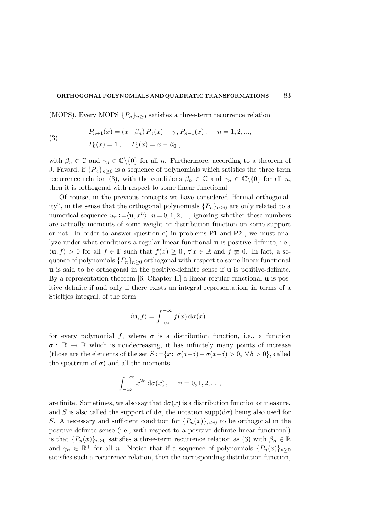(MOPS). Every MOPS  $\{P_n\}_{n>0}$  satisfies a three-term recurrence relation

(3) 
$$
P_{n+1}(x) = (x - \beta_n) P_n(x) - \gamma_n P_{n-1}(x), \quad n = 1, 2, ...,
$$

$$
P_0(x) = 1, \quad P_1(x) = x - \beta_0,
$$

with  $\beta_n \in \mathbb{C}$  and  $\gamma_n \in \mathbb{C}\backslash\{0\}$  for all n. Furthermore, according to a theorem of J. Favard, if  $\{P_n\}_{n\geq 0}$  is a sequence of polynomials which satisfies the three term recurrence relation (3), with the conditions  $\beta_n \in \mathbb{C}$  and  $\gamma_n \in \mathbb{C}\backslash\{0\}$  for all n, then it is orthogonal with respect to some linear functional.

Of course, in the previous concepts we have considered "formal orthogonality", in the sense that the orthogonal polynomials  $\{P_n\}_{n>0}$  are only related to a numerical sequence  $u_n := \langle \mathbf{u}, x^n \rangle$ ,  $n = 0, 1, 2, \dots$ , ignoring whether these numbers are actually moments of some weight or distribution function on some support or not. In order to answer question c) in problems  $P1$  and  $P2$ , we must analyze under what conditions a regular linear functional u is positive definite, i.e.,  $\langle \mathbf{u}, f \rangle > 0$  for all  $f \in \mathbb{P}$  such that  $f(x) \geq 0$ ,  $\forall x \in \mathbb{R}$  and  $f \not\equiv 0$ . In fact, a sequence of polynomials  $\{P_n\}_{n\geq 0}$  orthogonal with respect to some linear functional u is said to be orthogonal in the positive-definite sense if u is positive-definite. By a representation theorem  $[6,$  Chapter II] a linear regular functional  $\bf{u}$  is positive definite if and only if there exists an integral representation, in terms of a Stieltjes integral, of the form

$$
\langle \mathbf{u}, f \rangle = \int_{-\infty}^{+\infty} f(x) \, \mathrm{d}\sigma(x) ,
$$

for every polynomial f, where  $\sigma$  is a distribution function, i.e., a function  $\sigma: \mathbb{R} \to \mathbb{R}$  which is nondecreasing, it has infinitely many points of increase (those are the elements of the set  $S := \{x: \sigma(x+\delta) - \sigma(x-\delta) > 0, \forall \delta > 0\}$ , called the spectrum of  $\sigma$ ) and all the moments

$$
\int_{-\infty}^{+\infty} x^{2n} d\sigma(x), \quad n = 0, 1, 2, \dots,
$$

are finite. Sometimes, we also say that  $d\sigma(x)$  is a distribution function or measure, and S is also called the support of  $d\sigma$ , the notation supp $(d\sigma)$  being also used for S. A necessary and sufficient condition for  ${P_n(x)}_{n\geq 0}$  to be orthogonal in the positive-definite sense (i.e., with respect to a positive-definite linear functional) is that  ${P_n(x)}_{n\geq 0}$  satisfies a three-term recurrence relation as (3) with  $\beta_n \in \mathbb{R}$ and  $\gamma_n \in \mathbb{R}^+$  for all *n*. Notice that if a sequence of polynomials  $\{P_n(x)\}_{n\geq 0}$ satisfies such a recurrence relation, then the corresponding distribution function,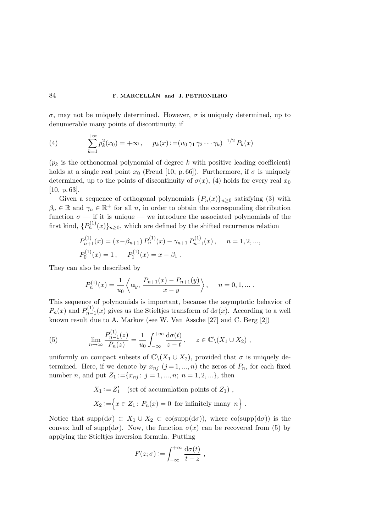σ, may not be uniquely determined. However, σ is uniquely determined, up to denumerable many points of discontinuity, if

(4) 
$$
\sum_{k=1}^{+\infty} p_k^2(x_0) = +\infty, \quad p_k(x) := (u_0 \gamma_1 \gamma_2 \cdots \gamma_k)^{-1/2} P_k(x)
$$

 $(p_k)$  is the orthonormal polynomial of degree k with positive leading coefficient) holds at a single real point  $x_0$  (Freud [10, p. 66]). Furthermore, if  $\sigma$  is uniquely determined, up to the points of discontinuity of  $\sigma(x)$ , (4) holds for every real  $x_0$ [10, p. 63].

Given a sequence of orthogonal polynomials  ${P_n(x)}_{n\geq 0}$  satisfying (3) with  $\beta_n \in \mathbb{R}$  and  $\gamma_n \in \mathbb{R}^+$  for all n, in order to obtain the corresponding distribution function  $\sigma$  — if it is unique — we introduce the associated polynomials of the first kind,  $\{P_n^{(1)}(x)\}_{n\geq 0}$ , which are defined by the shifted recurrence relation

$$
P_{n+1}^{(1)}(x) = (x - \beta_{n+1}) P_n^{(1)}(x) - \gamma_{n+1} P_{n-1}^{(1)}(x), \quad n = 1, 2, ...,
$$
  
\n
$$
P_0^{(1)}(x) = 1, \quad P_1^{(1)}(x) = x - \beta_1.
$$

They can also be described by

$$
P_n^{(1)}(x) = \frac{1}{u_0} \left\langle \mathbf{u}_y, \frac{P_{n+1}(x) - P_{n+1}(y)}{x - y} \right\rangle, \quad n = 0, 1, \dots.
$$

This sequence of polynomials is important, because the asymptotic behavior of  $P_n(x)$  and  $P_{n-}^{(1)}$  $n_{n-1}^{(1)}(x)$  gives us the Stieltjes transform of  $d\sigma(x)$ . According to a well known result due to A. Markov (see W. Van Assche [27] and C. Berg [2])

(5) 
$$
\lim_{n \to \infty} \frac{P_{n-1}^{(1)}(z)}{P_n(z)} = \frac{1}{u_0} \int_{-\infty}^{+\infty} \frac{d\sigma(t)}{z - t}, \quad z \in \mathbb{C} \setminus (X_1 \cup X_2),
$$

uniformly on compact subsets of  $\mathbb{C}\setminus (X_1 \cup X_2)$ , provided that  $\sigma$  is uniquely determined. Here, if we denote by  $x_{nj}$   $(j = 1, ..., n)$  the zeros of  $P_n$ , for each fixed number *n*, and put  $Z_1 := \{x_{nj}: j = 1, ..., n; n = 1, 2, ...\}$ , then

$$
X_1 := Z'_1 \quad \text{(set of accumulation points of } Z_1) ,
$$
  

$$
X_2 := \Big\{ x \in Z_1 \colon P_n(x) = 0 \text{ for infinitely many } n \Big\} .
$$

Notice that supp $(d\sigma) \subset X_1 \cup X_2 \subset \text{co(supp}(d\sigma))$ , where  $\text{co(supp}(d\sigma))$  is the convex hull of supp( $d\sigma$ ). Now, the function  $\sigma(x)$  can be recovered from (5) by applying the Stieltjes inversion formula. Putting

$$
F(z; \sigma) := \int_{-\infty}^{+\infty} \frac{d\sigma(t)}{t - z} ,
$$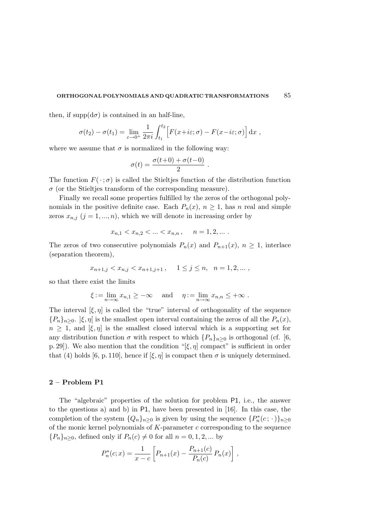then, if supp $(d\sigma)$  is contained in an half-line,

$$
\sigma(t_2) - \sigma(t_1) = \lim_{\varepsilon \to 0^+} \frac{1}{2\pi i} \int_{t_1}^{t_2} \left[ F(x + i\varepsilon; \sigma) - F(x - i\varepsilon; \sigma) \right] dx ,
$$

where we assume that  $\sigma$  is normalized in the following way:

$$
\sigma(t) = \frac{\sigma(t+0) + \sigma(t-0)}{2}.
$$

The function  $F(\cdot;\sigma)$  is called the Stieltjes function of the distribution function  $\sigma$  (or the Stieltjes transform of the corresponding measure).

Finally we recall some properties fulfilled by the zeros of the orthogonal polynomials in the positive definite case. Each  $P_n(x)$ ,  $n \geq 1$ , has n real and simple zeros  $x_{n,j}$   $(j = 1, ..., n)$ , which we will denote in increasing order by

$$
x_{n,1} < x_{n,2} < \ldots < x_{n,n}, \quad n = 1, 2, \ldots.
$$

The zeros of two consecutive polynomials  $P_n(x)$  and  $P_{n+1}(x)$ ,  $n \geq 1$ , interlace (separation theorem),

$$
x_{n+1,j} < x_{n,j} < x_{n+1,j+1} \,, \quad 1 \leq j \leq n, \quad n = 1, 2, \dots \,,
$$

so that there exist the limits

$$
\xi := \lim_{n \to \infty} x_{n,1} \geq -\infty \quad \text{and} \quad \eta := \lim_{n \to \infty} x_{n,n} \leq +\infty.
$$

The interval  $[\xi, \eta]$  is called the "true" interval of orthogonality of the sequence  ${P_n}_{n>0}$ .  $|\xi, \eta|$  is the smallest open interval containing the zeros of all the  $P_n(x)$ ,  $n \geq 1$ , and  $[\xi, \eta]$  is the smallest closed interval which is a supporting set for any distribution function  $\sigma$  with respect to which  $\{P_n\}_{n>0}$  is orthogonal (cf. [6, p. 29]). We also mention that the condition "[ $\xi, \eta$ ] compact" is sufficient in order that (4) holds [6, p. 110], hence if  $[\xi, \eta]$  is compact then  $\sigma$  is uniquely determined.

#### 2 – Problem P1

The "algebraic" properties of the solution for problem P1, i.e., the answer to the questions a) and b) in P1, have been presented in [16]. In this case, the completion of the system  $\{Q_n\}_{n\geq 0}$  is given by using the sequence  $\{P_n^*(c; \cdot)\}_{n\geq 0}$ of the monic kernel polynomials of  $K$ -parameter  $c$  corresponding to the sequence  ${P_n}_{n\geq 0}$ , defined only if  $P_n(c) \neq 0$  for all  $n = 0, 1, 2, ...$  by

$$
P_n^*(c; x) = \frac{1}{x - c} \left[ P_{n+1}(x) - \frac{P_{n+1}(c)}{P_n(c)} P_n(x) \right],
$$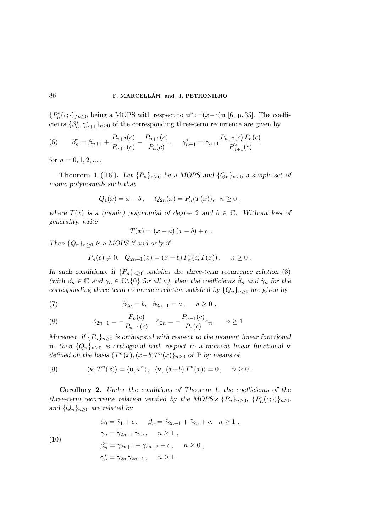{ $P_n^*(c; \cdot)$ }<sub>n≥0</sub> being a MOPS with respect to  $\mathbf{u}^* := (x-c)\mathbf{u}$  [6, p. 35]. The coefficients  $\{\beta_n^*, \gamma_{n+1}^*\}_{n\geq 0}$  of the corresponding three-term recurrence are given by

(6) 
$$
\beta_n^* = \beta_{n+1} + \frac{P_{n+2}(c)}{P_{n+1}(c)} - \frac{P_{n+1}(c)}{P_n(c)}, \quad \gamma_{n+1}^* = \gamma_{n+1} \frac{P_{n+2}(c) P_n(c)}{P_{n+1}^2(c)}
$$

for  $n = 0, 1, 2, ...$ .

**Theorem 1** ([16]). Let  $\{P_n\}_{n\geq 0}$  be a MOPS and  $\{Q_n\}_{n\geq 0}$  a simple set of monic polynomials such that

$$
Q_1(x) = x - b
$$
,  $Q_{2n}(x) = P_n(T(x))$ ,  $n \ge 0$ ,

where  $T(x)$  is a (monic) polynomial of degree 2 and  $b \in \mathbb{C}$ . Without loss of generality, write

$$
T(x) = (x - a) (x - b) + c.
$$

Then  $\{Q_n\}_{n\geq 0}$  is a MOPS if and only if

$$
P_n(c) \neq 0
$$
,  $Q_{2n+1}(x) = (x - b) P_n^*(c; T(x))$ ,  $n \geq 0$ .

In such conditions, if  $\{P_n\}_{n>0}$  satisfies the three-term recurrence relation (3) (with  $\beta_n \in \mathbb{C}$  and  $\gamma_n \in \mathbb{C}\setminus\{0\}$  for all n), then the coefficients  $\tilde{\beta}_n$  and  $\tilde{\gamma}_n$  for the corresponding three term recurrence relation satisfied by  $\{Q_n\}_{n\geq 0}$  are given by

(7) 
$$
\tilde{\beta}_{2n} = b, \quad \tilde{\beta}_{2n+1} = a, \quad n \ge 0,
$$

(8) 
$$
\tilde{\gamma}_{2n-1} = -\frac{P_n(c)}{P_{n-1}(c)}, \quad \tilde{\gamma}_{2n} = -\frac{P_{n-1}(c)}{P_n(c)}\gamma_n, \quad n \ge 1.
$$

Moreover, if  $\{P_n\}_{n>0}$  is orthogonal with respect to the moment linear functional u, then  $\{Q_n\}_{n>0}$  is orthogonal with respect to a moment linear functional v defined on the basis  $\{T^n(x), (x-b)T^n(x)\}_{n\geq 0}$  of  $\mathbb P$  by means of

(9) 
$$
\langle \mathbf{v}, T^n(x) \rangle = \langle \mathbf{u}, x^n \rangle, \quad \langle \mathbf{v}, (x - b) T^n(x) \rangle = 0, \quad n \ge 0.
$$

Corollary 2. Under the conditions of Theorem 1, the coefficients of the three-term recurrence relation verified by the MOPS's  $\{P_n\}_{n\geq 0}$ ,  $\{P_n^*(c; \cdot)\}_{n\geq 0}$ and  $\{Q_n\}_{n\geq 0}$  are related by

(10)  
\n
$$
\beta_0 = \tilde{\gamma}_1 + c, \quad \beta_n = \tilde{\gamma}_{2n+1} + \tilde{\gamma}_{2n} + c, \quad n \ge 1,
$$
\n
$$
\gamma_n = \tilde{\gamma}_{2n-1} \tilde{\gamma}_{2n}, \quad n \ge 1,
$$
\n
$$
\beta_n^* = \tilde{\gamma}_{2n+1} + \tilde{\gamma}_{2n+2} + c, \quad n \ge 0,
$$
\n
$$
\gamma_n^* = \tilde{\gamma}_{2n} \tilde{\gamma}_{2n+1}, \quad n \ge 1.
$$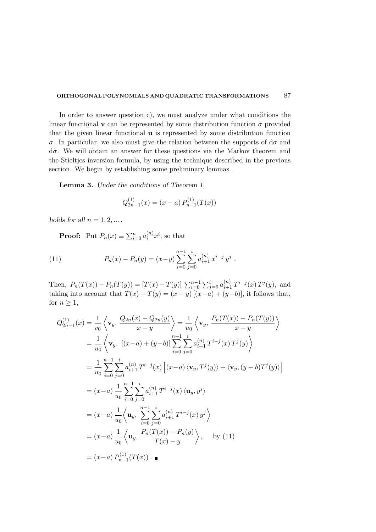In order to answer question c), we must analyze under what conditions the linear functional **v** can be represented by some distribution function  $\tilde{\sigma}$  provided that the given linear functional u is represented by some distribution function σ. In particular, we also must give the relation between the supports of dσ and  $d\tilde{\sigma}$ . We will obtain an answer for these questions via the Markov theorem and the Stieltjes inversion formula, by using the technique described in the previous section. We begin by establishing some preliminary lemmas.

Lemma 3. Under the conditions of Theorem 1,

$$
Q_{2n-1}^{(1)}(x) = (x - a) P_{n-1}^{(1)}(T(x))
$$

holds for all  $n = 1, 2, \dots$ .

**Proof:** Put  $P_n(x) \equiv \sum_{i=0}^n a_i^{(n)} x^i$ , so that

(11) 
$$
P_n(x) - P_n(y) = (x - y) \sum_{i=0}^{n-1} \sum_{j=0}^{i} a_{i+1}^{(n)} x^{i-j} y^j.
$$

Then,  $P_n(T(x)) - P_n(T(y)) = [T(x) - T(y)] \sum_{i=0}^{n-1} \sum_{j=0}^{i} a_{i+1}^{(n)} T^{i-j}(x) T^j(y)$ , and taking into account that  $T(x) - T(y) = (x - y) [(x - a) + (y - b)]$ , it follows that, for  $n \geq 1$ ,

$$
Q_{2n-1}^{(1)}(x) = \frac{1}{v_0} \left\langle \mathbf{v}_y, \frac{Q_{2n}(x) - Q_{2n}(y)}{x - y} \right\rangle = \frac{1}{u_0} \left\langle \mathbf{v}_y, \frac{P_n(T(x)) - P_n(T(y))}{x - y} \right\rangle
$$
  
\n
$$
= \frac{1}{u_0} \left\langle \mathbf{v}_y, \left[ (x - a) + (y - b) \right] \sum_{i=0}^{n-1} \sum_{j=0}^i a_{i+1}^{(n)} T^{i-j}(x) T^j(y) \right\rangle
$$
  
\n
$$
= \frac{1}{u_0} \sum_{i=0}^{n-1} \sum_{j=0}^i a_{i+1}^{(n)} T^{i-j}(x) \left[ (x - a) \langle \mathbf{v}_y, T^j(y) \rangle + \langle \mathbf{v}_y, (y - b) T^j(y) \rangle \right]
$$
  
\n
$$
= (x - a) \frac{1}{u_0} \sum_{i=0}^{n-1} \sum_{j=0}^i a_{i+1}^{(n)} T^{i-j}(x) \langle \mathbf{u}_y, y^j \rangle
$$
  
\n
$$
= (x - a) \frac{1}{u_0} \left\langle \mathbf{u}_y, \sum_{i=0}^{n-1} \sum_{j=0}^i a_{i+1}^{(n)} T^{i-j}(x) y^j \right\rangle
$$
  
\n
$$
= (x - a) \frac{1}{u_0} \left\langle \mathbf{u}_y, \frac{P_n(T(x)) - P_n(y)}{T(x) - y} \right\rangle, \quad \text{by (11)}
$$
  
\n
$$
= (x - a) P_{n-1}^{(1)}(T(x)).
$$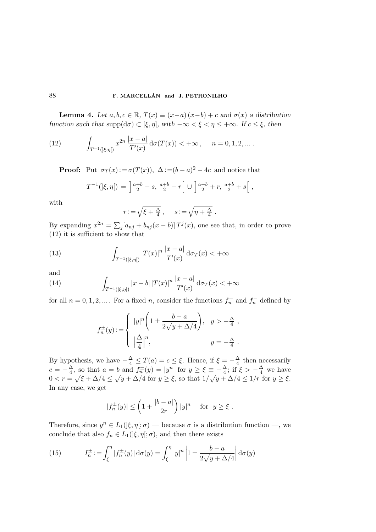**Lemma 4.** Let  $a, b, c \in \mathbb{R}$ ,  $T(x) \equiv (x-a)(x-b) + c$  and  $\sigma(x)$  a distribution function such that  $\text{supp}(\text{d}\sigma) \subset [\xi, \eta]$ , with  $-\infty < \xi < \eta \leq +\infty$ . If  $c \leq \xi$ , then

(12) 
$$
\int_{T^{-1}(\mathcal{z},\eta)} x^{2n} \frac{|x-a|}{T'(x)} d\sigma(T(x)) < +\infty, \quad n = 0, 1, 2, ...
$$

**Proof:** Put  $\sigma_T(x) := \sigma(T(x))$ ,  $\Delta := (b - a)^2 - 4c$  and notice that

$$
T^{-1}(|\xi,\eta|) = \left] \frac{a+b}{2} - s, \frac{a+b}{2} - r \right[ \cup \left] \frac{a+b}{2} + r, \frac{a+b}{2} + s \right[ ,
$$

with

$$
r := \sqrt{\xi + \frac{\Delta}{4}}, \quad s := \sqrt{\eta + \frac{\Delta}{4}}.
$$

By expanding  $x^{2n} = \sum_j [a_{nj} + b_{nj}(x - b)] T^j(x)$ , one see that, in order to prove (12) it is sufficient to show that

(13) 
$$
\int_{T^{-1}(\mathbf{r},\eta)} |T(x)|^n \frac{|x-a|}{T'(x)} d\sigma_T(x) < +\infty
$$

and

(14) 
$$
\int_{T^{-1}(\xi,\eta)} |x-b| |T(x)|^n \frac{|x-a|}{T'(x)} d\sigma_T(x) < +\infty
$$

for all  $n = 0, 1, 2, \dots$ . For a fixed n, consider the functions  $f_n^+$  and  $f_n^-$  defined by

$$
f_n^{\pm}(y) := \begin{cases} |y|^n \left(1 \pm \frac{b-a}{2\sqrt{y + \Delta/4}}\right), & y > -\frac{\Delta}{4}, \\ \left|\frac{\Delta}{4}\right|^n, & y = -\frac{\Delta}{4}. \end{cases}
$$

By hypothesis, we have  $-\frac{\Delta}{4} \leq T(a) = c \leq \xi$ . Hence, if  $\xi = -\frac{\Delta}{4}$  $\frac{\Delta}{4}$  then necessarily  $c=-\frac{\Delta}{4}$  $\frac{\Delta}{4}$ , so that  $a = b$  and  $f_n^{\pm}(y) = |y^n|$  for  $y \ge \xi \equiv -\frac{\Delta}{4}$  $\frac{\Delta}{4}$ ; if  $\xi > -\frac{\Delta}{4}$  we have  $0 < r = \sqrt{\xi + \Delta/4} \le \sqrt{y + \Delta/4}$  for  $y \ge \xi$ , so that  $1/\sqrt{y + \Delta/4} \le 1/r$  for  $y \ge \xi$ . In any case, we get

$$
|f_n^{\pm}(y)| \le \left(1 + \frac{|b-a|}{2r}\right)|y|^n \quad \text{for } y \ge \xi.
$$

Therefore, since  $y^n \in L_1(\mathcal{F}, \eta; \sigma)$  — because  $\sigma$  is a distribution function —, we conclude that also  $f_n \in L_1(\xi, \eta; \sigma)$ , and then there exists

(15) 
$$
I_n^{\pm} := \int_{\xi}^{\eta} |f_n^{\pm}(y)| d\sigma(y) = \int_{\xi}^{\eta} |y|^n \left| 1 \pm \frac{b-a}{2\sqrt{y + \Delta/4}} \right| d\sigma(y)
$$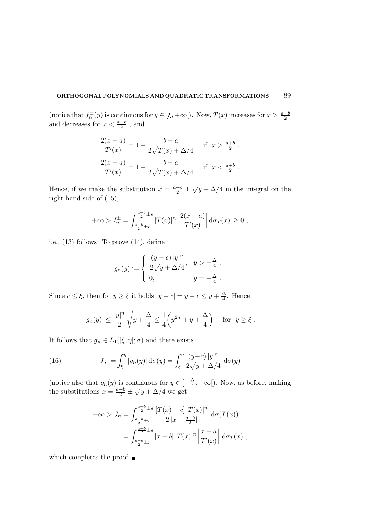(notice that  $f_n^{\pm}(y)$  is continuous for  $y \in [\xi, +\infty]$ ). Now,  $T(x)$  increases for  $x > \frac{a+b}{2}$ 2 and decreases for  $x < \frac{a+b}{2}$  $\frac{+b}{2}$ , and

$$
\frac{2(x-a)}{T'(x)} = 1 + \frac{b-a}{2\sqrt{T(x) + \Delta/4}} \quad \text{if } x > \frac{a+b}{2},
$$
  

$$
\frac{2(x-a)}{T'(x)} = 1 - \frac{b-a}{2\sqrt{T(x) + \Delta/4}} \quad \text{if } x < \frac{a+b}{2}.
$$

Hence, if we make the substitution  $x = \frac{a+b}{2} \pm \sqrt{y + \Delta/4}$  in the integral on the right-hand side of (15),

$$
+\infty > I_n^{\pm} = \int_{\frac{a+b}{2}\pm r}^{\frac{a+b}{2}\pm s} |T(x)|^n \left| \frac{2(x-a)}{T'(x)} \right| d\sigma_T(x) \ge 0,
$$

i.e., (13) follows. To prove (14), define

$$
g_n(y) := \begin{cases} \frac{(y-c) |y|^n}{2\sqrt{y + \Delta/4}}, & y > -\frac{\Delta}{4}, \\ 0, & y = -\frac{\Delta}{4}. \end{cases}
$$

Since  $c \leq \xi$ , then for  $y \geq \xi$  it holds  $|y - c| = y - c \leq y + \frac{\Delta}{4}$  $\frac{\Delta}{4}$ . Hence

$$
|g_n(y)| \le \frac{|y|^n}{2} \sqrt{y + \frac{\Delta}{4}} \le \frac{1}{4} \left(y^{2n} + y + \frac{\Delta}{4}\right) \quad \text{for } y \ge \xi.
$$

It follows that  $g_n \in L_1(|\xi, \eta|; \sigma)$  and there exists

(16) 
$$
J_n := \int_{\xi}^{\eta} |g_n(y)| d\sigma(y) = \int_{\xi}^{\eta} \frac{(y-c)|y|^n}{2\sqrt{y+\Delta/4}} d\sigma(y)
$$

(notice also that  $g_n(y)$  is continuous for  $y \in \left[-\frac{\Delta}{4}\right]$  $\frac{\Delta}{4}$ , + $\infty$ [). Now, as before, making the substitutions  $x = \frac{a+b}{2} \pm \sqrt{y + \Delta/4}$  we get

$$
+\infty > J_n = \int_{\frac{a+b}{2} \pm r}^{\frac{a+b}{2} \pm s} \frac{[T(x) - c] |T(x)|^n}{2 |x - \frac{a+b}{2}|} d\sigma(T(x))
$$
  
= 
$$
\int_{\frac{a+b}{2} \pm r}^{\frac{a+b}{2} \pm s} |x - b| |T(x)|^n \left| \frac{x - a}{T'(x)} \right| d\sigma_T(x) ,
$$

which completes the proof.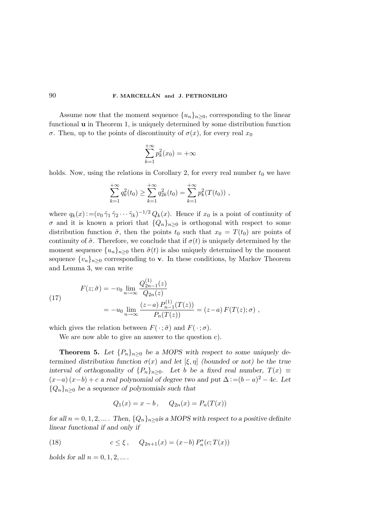Assume now that the moment sequence  ${u_n}_{n>0}$ , corresponding to the linear functional u in Theorem 1, is uniquely determined by some distribution function σ. Then, up to the points of discontinuity of  $σ(x)$ , for every real  $x_0$ 

$$
\sum_{k=1}^{+\infty} p_k^2(x_0) = +\infty
$$

holds. Now, using the relations in Corollary 2, for every real number  $t_0$  we have

$$
\sum_{k=1}^{+\infty} q_k^2(t_0) \ge \sum_{k=1}^{+\infty} q_{2k}^2(t_0) = \sum_{k=1}^{+\infty} p_k^2(T(t_0)) ,
$$

where  $q_k(x) := (v_0 \tilde{\gamma}_1 \tilde{\gamma}_2 \cdots \tilde{\gamma}_k)^{-1/2} Q_k(x)$ . Hence if  $x_0$  is a point of continuity of  $\sigma$  and it is known a priori that  $\{Q_n\}_{n\geq 0}$  is orthogonal with respect to some distribution function  $\tilde{\sigma}$ , then the points  $t_0$  such that  $x_0 = T(t_0)$  are points of continuity of  $\tilde{\sigma}$ . Therefore, we conclude that if  $\sigma(t)$  is uniquely determined by the moment sequence  $\{u_n\}_{n\geq 0}$  then  $\tilde{\sigma}(t)$  is also uniquely determined by the moment sequence  $\{v_n\}_{n\geq 0}$  corresponding to **v**. In these conditions, by Markov Theorem and Lemma 3, we can write

(17) 
$$
F(z; \tilde{\sigma}) = -v_0 \lim_{n \to \infty} \frac{Q_{2n-1}^{(1)}(z)}{Q_{2n}(z)}
$$

$$
= -u_0 \lim_{n \to \infty} \frac{(z-a) P_{n-1}^{(1)}(T(z))}{P_n(T(z))} = (z-a) F(T(z); \sigma) ,
$$

which gives the relation between  $F(\cdot; \tilde{\sigma})$  and  $F(\cdot; \sigma)$ .

We are now able to give an answer to the question c).

**Theorem 5.** Let  $\{P_n\}_{n\geq 0}$  be a MOPS with respect to some uniquely determined distribution function  $\sigma(x)$  and let  $[\xi, \eta]$  (bounded or not) be the true interval of orthogonality of  $\{P_n\}_{n>0}$ . Let b be a fixed real number,  $T(x) \equiv$  $(x-a)(x-b)+c$  a real polynomial of degree two and put  $\Delta := (b-a)^2 - 4c$ . Let  ${Q_n}_{n\geq 0}$  be a sequence of polynomials such that

$$
Q_1(x) = x - b
$$
,  $Q_{2n}(x) = P_n(T(x))$ 

for all  $n = 0, 1, 2, ...$  Then,  $\{Q_n\}_{n>0}$  is a MOPS with respect to a positive definite linear functional if and only if

(18) 
$$
c \le \xi, \quad Q_{2n+1}(x) = (x-b) P_n^*(c;T(x))
$$

holds for all  $n = 0, 1, 2, \dots$ .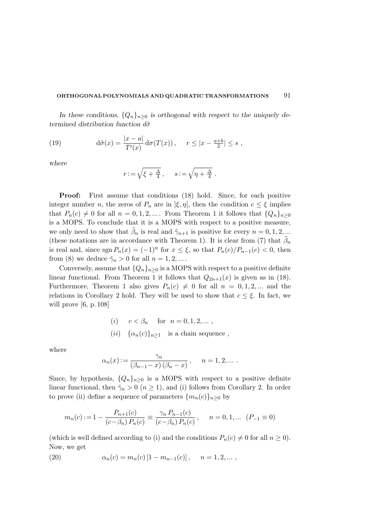In these conditions,  $\{Q_n\}_{n\geq 0}$  is orthogonal with respect to the uniquely determined distribution function  $d\tilde{\sigma}$ 

(19) 
$$
\mathrm{d}\tilde{\sigma}(x) = \frac{|x-a|}{T'(x)} \mathrm{d}\sigma(T(x)), \quad r \le |x - \frac{a+b}{2}| \le s,
$$

where

$$
r := \sqrt{\xi + \frac{\Delta}{4}}, \quad s := \sqrt{\eta + \frac{\Delta}{4}}.
$$

Proof: First assume that conditions (18) hold. Since, for each positive integer number *n*, the zeros of  $P_n$  are in  $|\xi, \eta|$ , then the condition  $c \leq \xi$  implies that  $P_n(c) \neq 0$  for all  $n = 0, 1, 2, ...$  From Theorem 1 it follows that  $\{Q_n\}_{n\geq 0}$ is a MOPS. To conclude that it is a MOPS with respect to a positive measure, we only need to show that  $\tilde{\beta}_n$  is real and  $\tilde{\gamma}_{n+1}$  is positive for every  $n = 0, 1, 2, ...$ (these notations are in accordance with Theorem 1). It is clear from (7) that  $\tilde{\beta}_n$ is real and, since  $\text{sgn } P_n(x) = (-1)^n$  for  $x \le \xi$ , so that  $P_n(c)/P_{n-1}(c) < 0$ , then from (8) we deduce  $\tilde{\gamma}_n > 0$  for all  $n = 1, 2, ...$ .

Conversely, assume that  ${Q_n}_{n>0}$  is a MOPS with respect to a positive definite linear functional. From Theorem 1 it follows that  $Q_{2n+1}(x)$  is given as in (18). Furthermore, Theorem 1 also gives  $P_n(c) \neq 0$  for all  $n = 0, 1, 2, ...$  and the relations in Corollary 2 hold. They will be used to show that  $c \leq \xi$ . In fact, we will prove [6, p. 108]

(i) 
$$
c < \beta_n
$$
 for  $n = 0, 1, 2, ...$ ,  
(ii)  $\{\alpha_n(c)\}_{n \ge 1}$  is a chain sequence,

where

$$
\alpha_n(x) := \frac{\gamma_n}{(\beta_{n-1} - x)(\beta_n - x)}, \quad n = 1, 2, \dots.
$$

Since, by hypothesis,  $\{Q_n\}_{n>0}$  is a MOPS with respect to a positive definite linear functional, then  $\tilde{\gamma}_n > 0$   $(n \geq 1)$ , and (i) follows from Corollary 2. In order to prove (ii) define a sequence of parameters  $\{m_n(c)\}_n>0$  by

$$
m_n(c) := 1 - \frac{P_{n+1}(c)}{(c - \beta_n) P_n(c)} \equiv \frac{\gamma_n P_{n-1}(c)}{(c - \beta_n) P_n(c)}, \quad n = 0, 1, \dots \ (P_{-1} \equiv 0)
$$

(which is well defined according to (i) and the conditions  $P_n(c) \neq 0$  for all  $n \geq 0$ ). Now, we get

(20) 
$$
\alpha_n(c) = m_n(c) [1 - m_{n-1}(c)], \quad n = 1, 2, ...
$$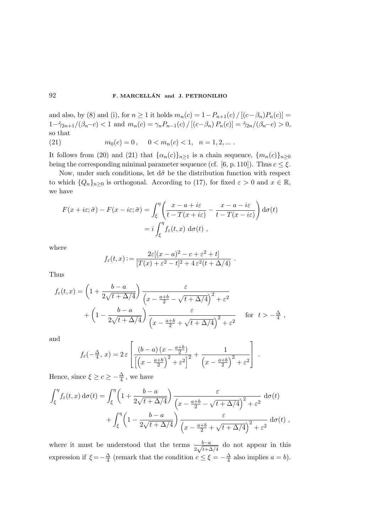and also, by (8) and (i), for  $n \ge 1$  it holds  $m_n(c) = 1 - P_{n+1}(c) / [(c - \beta_n)P_n(c)] =$  $1-\tilde{\gamma}_{2n+1}/(\beta_n-c) < 1$  and  $m_n(c) = \gamma_n P_{n-1}(c) / [(c-\beta_n) P_n(c)] = \tilde{\gamma}_{2n}/(\beta_n-c) > 0$ , so that (21)  $m_0(c) = 0, \quad 0 < m_n(c) < 1, \quad n = 1, 2, \dots$ 

It follows from (20) and (21) that  $\{\alpha_n(c)\}_{n\geq 1}$  is a chain sequence,  $\{m_n(c)\}_{n\geq 0}$ being the corresponding minimal parameter sequence (cf. [6, p. 110]). Thus  $c \leq \xi$ .

Now, under such conditions, let  $d\tilde{\sigma}$  be the distribution function with respect to which  $\{Q_n\}_{n\geq 0}$  is orthogonal. According to (17), for fixed  $\varepsilon > 0$  and  $x \in \mathbb{R}$ , we have

$$
F(x + i\varepsilon; \tilde{\sigma}) - F(x - i\varepsilon; \tilde{\sigma}) = \int_{\xi}^{\eta} \left( \frac{x - a + i\varepsilon}{t - T(x + i\varepsilon)} - \frac{x - a - i\varepsilon}{t - T(x - i\varepsilon)} \right) d\sigma(t)
$$
  
=  $i \int_{\xi}^{\eta} f_{\varepsilon}(t, x) d\sigma(t)$ ,

where

$$
f_{\varepsilon}(t,x) := \frac{2\varepsilon[(x-a)^2 - c + \varepsilon^2 + t]}{[T(x) + \varepsilon^2 - t]^2 + 4\,\varepsilon^2(t + \Delta/4)}.
$$

Thus

$$
f_{\varepsilon}(t,x) = \left(1 + \frac{b-a}{2\sqrt{t + \Delta/4}}\right) \frac{\varepsilon}{\left(x - \frac{a+b}{2} - \sqrt{t + \Delta/4}\right)^2 + \varepsilon^2} + \left(1 - \frac{b-a}{2\sqrt{t + \Delta/4}}\right) \frac{\varepsilon}{\left(x - \frac{a+b}{2} + \sqrt{t + \Delta/4}\right)^2 + \varepsilon^2} \quad \text{for } t > -\frac{\Delta}{4},
$$

and

$$
f_{\varepsilon}(-\frac{\Delta}{4}, x) = 2 \varepsilon \left[ \frac{\left(b-a\right)\left(x - \frac{a+b}{2}\right)}{\left[\left(x - \frac{a+b}{2}\right)^2 + \varepsilon^2\right]^2} + \frac{1}{\left(x - \frac{a+b}{2}\right)^2 + \varepsilon^2} \right].
$$

Hence, since  $\xi \geq c \geq -\frac{\Delta}{4}$  $\frac{\Delta}{4}$ , we have

$$
\int_{\xi}^{\eta} f_{\varepsilon}(t, x) d\sigma(t) = \int_{\xi}^{\eta} \left( 1 + \frac{b - a}{2\sqrt{t + \Delta/4}} \right) \frac{\varepsilon}{\left( x - \frac{a + b}{2} - \sqrt{t + \Delta/4} \right)^2 + \varepsilon^2} d\sigma(t) + \int_{\xi}^{\eta} \left( 1 - \frac{b - a}{2\sqrt{t + \Delta/4}} \right) \frac{\varepsilon}{\left( x - \frac{a + b}{2} + \sqrt{t + \Delta/4} \right)^2 + \varepsilon^2} d\sigma(t) ,
$$

where it must be understood that the terms  $\frac{b-a}{2\sqrt{t+\Delta/4}}$  do not appear in this expression if  $\xi = -\frac{\Delta}{4}$  $\frac{\Delta}{4}$  (remark that the condition  $c \leq \xi = -\frac{\Delta}{4}$  $\frac{\Delta}{4}$  also implies  $a = b$ ).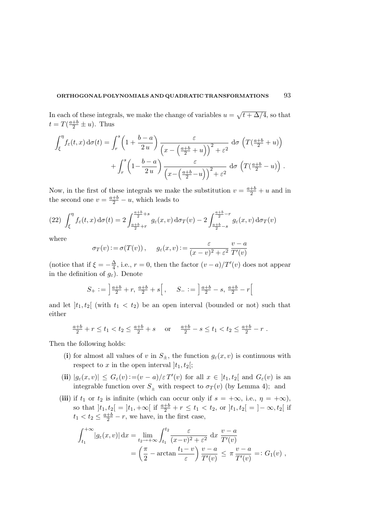In each of these integrals, we make the change of variables  $u = \sqrt{t + \Delta/4}$ , so that  $t = T(\frac{a+b}{2} \pm u)$ . Thus

$$
\int_{\xi}^{\eta} f_{\varepsilon}(t, x) d\sigma(t) = \int_{r}^{s} \left(1 + \frac{b - a}{2u}\right) \frac{\varepsilon}{\left(x - \left(\frac{a+b}{2} + u\right)\right)^{2} + \varepsilon^{2}} d\sigma \left(T\left(\frac{a+b}{2} + u\right)\right) + \int_{r}^{s} \left(1 - \frac{b - a}{2u}\right) \frac{\varepsilon}{\left(x - \left(\frac{a+b}{2} - u\right)\right)^{2} + \varepsilon^{2}} d\sigma \left(T\left(\frac{a+b}{2} - u\right)\right).
$$

Now, in the first of these integrals we make the substitution  $v = \frac{a+b}{2} + u$  and in the second one  $v = \frac{a+b}{2} - u$ , which leads to

$$
(22)\ \int_{\xi}^{\eta} f_{\varepsilon}(t,x) d\sigma(t) = 2 \int_{\frac{a+b}{2}+r}^{\frac{a+b}{2}+s} g_{\varepsilon}(x,v) d\sigma_T(v) - 2 \int_{\frac{a+b}{2}-s}^{\frac{a+b}{2}-r} g_{\varepsilon}(x,v) d\sigma_T(v)
$$

where

$$
\sigma_T(v) := \sigma(T(v)), \quad g_{\varepsilon}(x,v) := \frac{\varepsilon}{(x-v)^2 + \varepsilon^2} \frac{v-a}{T'(v)}
$$

(notice that if  $\xi = -\frac{\Delta}{4}$  $\frac{\Delta}{4}$ , i.e.,  $r = 0$ , then the factor  $(v - a)/T'(v)$  does not appear in the definition of  $g_{\varepsilon}$ ). Denote

$$
S_{+} := \left[ \frac{a+b}{2} + r, \frac{a+b}{2} + s \right], \quad S_{-} := \left[ \frac{a+b}{2} - s, \frac{a+b}{2} - r \right]
$$

and let  $]t_1,t_2[$  (with  $t_1 < t_2$ ) be an open interval (bounded or not) such that either

$$
\frac{a+b}{2} + r \le t_1 < t_2 \le \frac{a+b}{2} + s \quad \text{or} \quad \frac{a+b}{2} - s \le t_1 < t_2 \le \frac{a+b}{2} - r \; .
$$

Then the following holds:

- (i) for almost all values of v in  $S_{\pm}$ , the function  $g_{\varepsilon}(x, v)$  is continuous with respect to x in the open interval  $|t_1,t_2|$ ;
- (ii)  $|g_{\varepsilon}(x,v)| \leq G_{\varepsilon}(v) := (v-a)/\varepsilon T'(v)$  for all  $x \in [t_1,t_2]$  and  $G_{\varepsilon}(v)$  is an integrable function over  $S_{\pm}$  with respect to  $\sigma_T(v)$  (by Lemma 4); and
- (iii) if  $t_1$  or  $t_2$  is infinite (which can occur only if  $s = +\infty$ , i.e.,  $\eta = +\infty$ ), so that  $]t_1,t_2[$  =  $]t_1,+\infty[$  if  $\frac{a+b}{2}+r \le t_1 < t_2$ , or  $]t_1,t_2[$  =  $]-\infty,t_2[$  if  $t_1 < t_2 \leq \frac{a+b}{2} - r$ , we have, in the first case,

$$
\int_{t_1}^{+\infty} |g_{\varepsilon}(x,v)| dx = \lim_{t_2 \to +\infty} \int_{t_1}^{t_2} \frac{\varepsilon}{(x-v)^2 + \varepsilon^2} dx \frac{v-a}{T'(v)}
$$
  
=  $\left(\frac{\pi}{2} - \arctan \frac{t_1 - v}{\varepsilon}\right) \frac{v-a}{T'(v)} \le \pi \frac{v-a}{T'(v)} =: G_1(v),$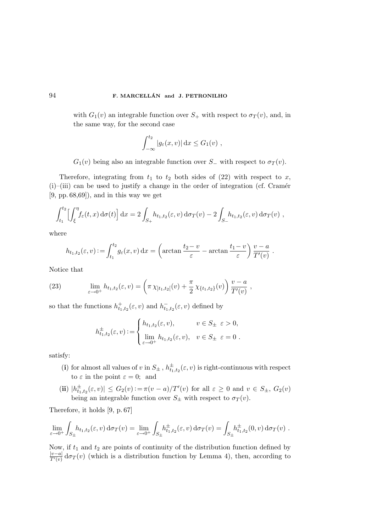with  $G_1(v)$  an integrable function over  $S_+$  with respect to  $\sigma_T(v)$ , and, in the same way, for the second case

$$
\int_{-\infty}^{t_2} |g_{\varepsilon}(x,v)| dx \le G_1(v) ,
$$

 $G_1(v)$  being also an integrable function over  $S_$  with respect to  $\sigma_T(v)$ .

Therefore, integrating from  $t_1$  to  $t_2$  both sides of (22) with respect to x,  $(i)$ –(iii) can be used to justify a change in the order of integration (cf. Cramér [9, pp. 68,69]), and in this way we get

$$
\int_{t_1}^{t_2} \left[ \int_{\xi}^{\eta} f_{\varepsilon}(t, x) \, d\sigma(t) \right] dx = 2 \int_{S_+} h_{t_1, t_2}(\varepsilon, v) \, d\sigma_T(v) - 2 \int_{S_-} h_{t_1, t_2}(\varepsilon, v) \, d\sigma_T(v) ,
$$

where

$$
h_{t_1,t_2}(\varepsilon,v) := \int_{t_1}^{t_2} g_{\varepsilon}(x,v) dx = \left(\arctan \frac{t_2-v}{\varepsilon} - \arctan \frac{t_1-v}{\varepsilon}\right) \frac{v-a}{T'(v)}.
$$

Notice that

(23) 
$$
\lim_{\varepsilon \to 0^+} h_{t_1,t_2}(\varepsilon, v) = \left(\pi \chi_{]t_1,t_2[}(v) + \frac{\pi}{2} \chi_{\{t_1,t_2\}}(v)\right) \frac{v-a}{T'(v)},
$$

so that the functions  $h_{t_1,t_2}^+(\varepsilon,v)$  and  $h_{t_1,t_2}^-(\varepsilon,v)$  defined by

$$
h_{t_1,t_2}^{\pm}(\varepsilon,v) := \begin{cases} h_{t_1,t_2}(\varepsilon,v), & v \in S_{\pm} \varepsilon > 0, \\ \lim_{\varepsilon \to 0^+} h_{t_1,t_2}(\varepsilon,v), & v \in S_{\pm} \varepsilon = 0. \end{cases}
$$

satisfy:

- (i) for almost all values of v in  $S_{\pm}$ ,  $h_{t_1,t_2}^{\pm}(\varepsilon, v)$  is right-continuous with respect to  $\varepsilon$  in the point  $\varepsilon = 0$ ; and
- (ii)  $|h_{t_1,t_2}^{\pm}(\varepsilon,v)| \leq G_2(v) := \pi(v-a)/T'(v)$  for all  $\varepsilon \geq 0$  and  $v \in S_{\pm}$ ,  $G_2(v)$ being an integrable function over  $S_{\pm}$  with respect to  $\sigma_T(v)$ .

Therefore, it holds [9, p. 67]

$$
\lim_{\varepsilon \to 0^+} \int_{S_\pm} h_{t_1,t_2}(\varepsilon, v) d\sigma_T(v) = \lim_{\varepsilon \to 0^+} \int_{S_\pm} h_{t_1,t_2}^\pm(\varepsilon, v) d\sigma_T(v) = \int_{S_\pm} h_{t_1,t_2}^\pm(0, v) d\sigma_T(v) .
$$

Now, if  $t_1$  and  $t_2$  are points of continuity of the distribution function defined by  $|v-a|$  $\frac{v-a_1}{T'(v)} d\sigma_T(v)$  (which is a distribution function by Lemma 4), then, according to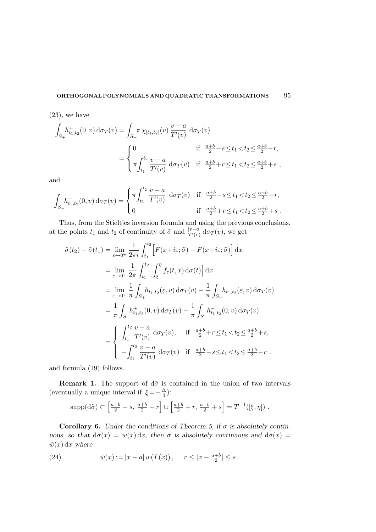$(23)$ , we have

$$
\int_{S_+} h^+_{t_1,t_2}(0,v) d\sigma_T(v) = \int_{S_+} \pi \chi_{]t_1,t_2[}(v) \frac{v-a}{T'(v)} d\sigma_T(v)
$$
  
= 
$$
\begin{cases} 0 & \text{if } \frac{a+b}{2} - s \le t_1 < t_2 \le \frac{a+b}{2} - r, \\ \pi \int_{t_1}^{t_2} \frac{v-a}{T'(v)} d\sigma_T(v) & \text{if } \frac{a+b}{2} + r \le t_1 < t_2 \le \frac{a+b}{2} + s, \end{cases}
$$

and

$$
\int_{S_{-}} h_{t_1,t_2}^-(0,v) d\sigma_T(v) = \begin{cases} \pi \int_{t_1}^{t_2} \frac{v-a}{T'(v)} d\sigma_T(v) & \text{if } \frac{a+b}{2} - s \le t_1 < t_2 \le \frac{a+b}{2} - r, \\ 0 & \text{if } \frac{a+b}{2} + r \le t_1 < t_2 \le \frac{a+b}{2} + s \end{cases}
$$

Thus, from the Stieltjes inversion formula and using the previous conclusions, at the points  $t_1$  and  $t_2$  of continuity of  $\tilde{\sigma}$  and  $\frac{|v-a|}{T'(v)} d\sigma_T(v)$ , we get

$$
\tilde{\sigma}(t_2) - \tilde{\sigma}(t_1) = \lim_{\varepsilon \to 0^+} \frac{1}{2\pi i} \int_{t_1}^{t_2} \left[ F(x + i\varepsilon; \tilde{\sigma}) - F(x - i\varepsilon; \tilde{\sigma}) \right] dx
$$
  
\n
$$
= \lim_{\varepsilon \to 0^+} \frac{1}{2\pi} \int_{t_1}^{t_2} \left[ \int_{\xi}^{\eta} f_{\varepsilon}(t, x) d\sigma(t) \right] dx
$$
  
\n
$$
= \lim_{\varepsilon \to 0^+} \frac{1}{\pi} \int_{S_+} h_{t_1, t_2}(\varepsilon, v) d\sigma_T(v) - \frac{1}{\pi} \int_{S_-} h_{t_1, t_2}(\varepsilon, v) d\sigma_T(v)
$$
  
\n
$$
= \frac{1}{\pi} \int_{S_+} h_{t_1, t_2}^+(0, v) d\sigma_T(v) - \frac{1}{\pi} \int_{S_-} h_{t_1, t_2}^-(0, v) d\sigma_T(v)
$$
  
\n
$$
= \begin{cases} \int_{t_1}^{t_2} \frac{v - a}{T'(v)} d\sigma_T(v), & \text{if } \frac{a+b}{2} + r \le t_1 < t_2 \le \frac{a+b}{2} + s, \\ -\int_{t_1}^{t_2} \frac{v - a}{T'(v)} d\sigma_T(v) & \text{if } \frac{a+b}{2} - s \le t_1 < t_2 \le \frac{a+b}{2} - r \end{cases}
$$

and formula (19) follows.

**Remark 1.** The support of  $d\tilde{\sigma}$  is contained in the union of two intervals (eventually a unique interval if  $\xi = -\frac{\Delta}{4}$  $\frac{\Delta}{4}$ ):

$$
\text{supp}(\text{d}\tilde{\sigma}) \subset \left[\frac{a+b}{2} - s, \frac{a+b}{2} - r\right] \cup \left[\frac{a+b}{2} + r, \frac{a+b}{2} + s\right] = T^{-1}([\xi, \eta]) \; .
$$

Corollary 6. Under the conditions of Theorem 5, if  $\sigma$  is absolutely continuous, so that  $d\sigma(x) = w(x) dx$ , then  $\tilde{\sigma}$  is absolutely continuous and  $d\tilde{\sigma}(x) =$  $\tilde{w}(x) dx$  where

(24) 
$$
\tilde{w}(x) := |x - a| w(T(x)), \quad r \le |x - \frac{a+b}{2}| \le s.
$$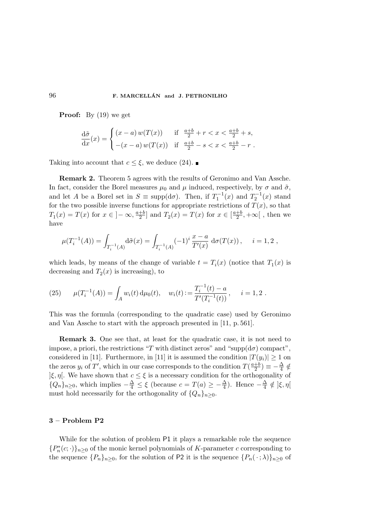**Proof:** By  $(19)$  we get

$$
\frac{d\tilde{\sigma}}{dx}(x) = \begin{cases} (x-a) \, w(T(x)) & \text{if } \frac{a+b}{2} + r < x < \frac{a+b}{2} + s, \\ -(x-a) \, w(T(x)) & \text{if } \frac{a+b}{2} - s < x < \frac{a+b}{2} - r \end{cases}
$$

Taking into account that  $c \leq \xi$ , we deduce (24).

Remark 2. Theorem 5 agrees with the results of Geronimo and Van Assche. In fact, consider the Borel measures  $\mu_0$  and  $\mu$  induced, respectively, by  $\sigma$  and  $\tilde{\sigma}$ , and let A be a Borel set in  $S \equiv \text{supp}(\text{d}\sigma)$ . Then, if  $T_1^{-1}(x)$  and  $T_2^{-1}(x)$  stand for the two possible inverse functions for appropriate restrictions of  $T(x)$ , so that  $T_1(x) = T(x)$  for  $x \in ]-\infty, \frac{a+b}{2}$  $\frac{1}{2}$  and  $T_2(x) = T(x)$  for  $x \in \left[\frac{a+b}{2}\right]$  $\frac{+b}{2}$ ,  $+\infty$ [, then we have

$$
\mu(T_i^{-1}(A)) = \int_{T_i^{-1}(A)} d\tilde{\sigma}(x) = \int_{T_i^{-1}(A)} (-1)^i \frac{x-a}{T'(x)} d\sigma(T(x)), \quad i = 1, 2,
$$

which leads, by means of the change of variable  $t = T_i(x)$  (notice that  $T_1(x)$  is decreasing and  $T_2(x)$  is increasing), to

(25) 
$$
\mu(T_i^{-1}(A)) = \int_A w_i(t) d\mu_0(t), \quad w_i(t) := \frac{T_i^{-1}(t) - a}{T'(T_i^{-1}(t))}, \quad i = 1, 2.
$$

This was the formula (corresponding to the quadratic case) used by Geronimo and Van Assche to start with the approach presented in [11, p. 561].

Remark 3. One see that, at least for the quadratic case, it is not need to impose, a priori, the restrictions "T with distinct zeros" and "supp( $d\sigma$ ) compact", considered in [11]. Furthermore, in [11] it is assumed the condition  $|T(y_i)| \geq 1$  on the zeros  $y_i$  of  $T'$ , which in our case corresponds to the condition  $T(\frac{a+b}{2})$  $\frac{+b}{2}$ )  $\equiv -\frac{\Delta}{4}$  $rac{\Delta}{4} \notin$  $\vert \xi, \eta \vert$ . We have shown that  $c \leq \xi$  is a necessary condition for the orthogonality of  $\{Q_n\}_{n\geq 0}$ , which implies  $-\frac{\Delta}{4} \leq \xi$  (because  $c = T(a) \geq -\frac{\Delta}{4}$  $\frac{\Delta}{4}$ ). Hence  $-\frac{\Delta}{4}$  $\frac{\Delta}{4} \notin \left] \xi, \eta \right[$ must hold necessarily for the orthogonality of  $\{Q_n\}_{n>0}$ .

### 3 – Problem P2

While for the solution of problem P1 it plays a remarkable role the sequence  $\{P_n^*(c;\cdot)\}_{n\geq 0}$  of the monic kernel polynomials of  $K\text{-parameter }c$  corresponding to the sequence  $\{P_n\}_{n\geq 0}$ , for the solution of P2 it is the sequence  $\{P_n(\cdot; \lambda)\}_{n\geq 0}$  of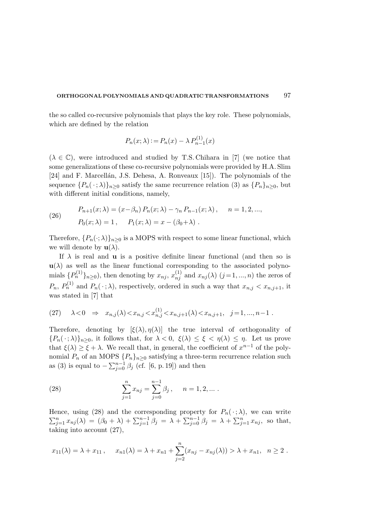the so called co-recursive polynomials that plays the key role. These polynomials, which are defined by the relation

$$
P_n(x; \lambda) := P_n(x) - \lambda \, P_{n-1}^{(1)}(x)
$$

 $(\lambda \in \mathbb{C})$ , were introduced and studied by T.S. Chihara in [7] (we notice that some generalizations of these co-recursive polynomials were provided by H.A. Slim [24] and F. Marcellán, J.S. Dehesa, A. Ronveaux [15]). The polynomials of the sequence  ${P_n(\cdot; \lambda)}_{n\geq 0}$  satisfy the same recurrence relation (3) as  ${P_n}_{n\geq 0}$ , but with different initial conditions, namely,

(26) 
$$
P_{n+1}(x; \lambda) = (x - \beta_n) P_n(x; \lambda) - \gamma_n P_{n-1}(x; \lambda), \quad n = 1, 2, ...,
$$

$$
P_0(x; \lambda) = 1, \quad P_1(x; \lambda) = x - (\beta_0 + \lambda).
$$

Therefore,  $\{P_n(\cdot;\lambda)\}_{n\geq 0}$  is a MOPS with respect to some linear functional, which we will denote by  $\mathbf{u}(\lambda)$ .

If  $\lambda$  is real and **u** is a positive definite linear functional (and then so is  $u(\lambda)$  as well as the linear functional corresponding to the associated polynomials  $\{P_n^{(1)}\}_{n\geq 0}$ ), then denoting by  $x_{nj}$ ,  $x_{nj}^{(1)}$  and  $x_{nj}(\lambda)$   $(j=1,...,n)$  the zeros of  $P_n$ ,  $P_n^{(1)}$  and  $P_n(\cdot; \lambda)$ , respectively, ordered in such a way that  $x_{n,j} < x_{n,j+1}$ , it was stated in [7] that

(27) 
$$
\lambda < 0 \Rightarrow x_{n,j}(\lambda) < x_{n,j} < x_{n,j}^{(1)} < x_{n,j+1}(\lambda) < x_{n,j+1}, \quad j = 1, ..., n-1
$$
.

Therefore, denoting by  $[\xi(\lambda), \eta(\lambda)]$  the true interval of orthogonality of  ${P_n(\cdot; \lambda)}_{n>0}$ , it follows that, for  $\lambda < 0$ ,  $\xi(\lambda) \leq \xi < \eta(\lambda) \leq \eta$ . Let us prove that  $\xi(\lambda) \geq \xi + \lambda$ . We recall that, in general, the coefficient of  $x^{n-1}$  of the polynomial  $P_n$  of an MOPS  $\{P_n\}_{n\geq 0}$  satisfying a three-term recurrence relation such as (3) is equal to  $-\sum_{j=0}^{n-1} \beta_j$  (cf. [6, p. 19]) and then

(28) 
$$
\sum_{j=1}^{n} x_{nj} = \sum_{j=0}^{n-1} \beta_j, \quad n = 1, 2, ...
$$

Hence, using (28) and the corresponding property for  $P_n(\cdot; \lambda)$ , we can write  $\sum_{j=1}^{n} x_{nj}(\lambda) = (\beta_0 + \lambda) + \sum_{j=1}^{n-1} \beta_j = \lambda + \sum_{j=0}^{n-1} \beta_j = \lambda + \sum_{j=1}^{n} x_{nj}$ , so that, taking into account (27),

$$
x_{11}(\lambda) = \lambda + x_{11}, \quad x_{n1}(\lambda) = \lambda + x_{n1} + \sum_{j=2}^{n} (x_{nj} - x_{nj}(\lambda)) > \lambda + x_{n1}, \quad n \ge 2.
$$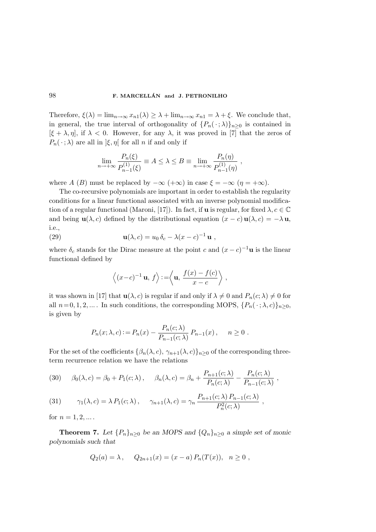Therefore,  $\xi(\lambda) = \lim_{n \to \infty} x_{n1}(\lambda) \geq \lambda + \lim_{n \to \infty} x_{n1} = \lambda + \xi$ . We conclude that, in general, the true interval of orthogonality of  $\{P_n(\cdot; \lambda)\}_{n>0}$  is contained in  $[\xi + \lambda, \eta]$ , if  $\lambda < 0$ . However, for any  $\lambda$ , it was proved in [7] that the zeros of  $P_n(\cdot; \lambda)$  are all in  $|\xi, \eta|$  for all n if and only if

$$
\lim_{n \to +\infty} \frac{P_n(\xi)}{P_{n-1}^{(1)}(\xi)} \equiv A \le \lambda \le B \equiv \lim_{n \to +\infty} \frac{P_n(\eta)}{P_{n-1}^{(1)}(\eta)},
$$

where A (B) must be replaced by  $-\infty$  (+ $\infty$ ) in case  $\xi = -\infty$  ( $\eta = +\infty$ ).

The co-recursive polynomials are important in order to establish the regularity conditions for a linear functional associated with an inverse polynomial modification of a regular functional (Maroni, [17]). In fact, if **u** is regular, for fixed  $\lambda, c \in \mathbb{C}$ and being  $\mathbf{u}(\lambda, c)$  defined by the distributional equation  $(x - c) \mathbf{u}(\lambda, c) = -\lambda \mathbf{u}$ , i.e.,

(29) 
$$
\mathbf{u}(\lambda, c) = u_0 \, \delta_c - \lambda (x - c)^{-1} \, \mathbf{u} \ ,
$$

where  $\delta_c$  stands for the Dirac measure at the point c and  $(x-c)^{-1}$ **u** is the linear functional defined by

$$
\langle (x-c)^{-1} \mathbf{u}, f \rangle := \langle \mathbf{u}, \frac{f(x) - f(c)}{x - c} \rangle
$$
,

it was shown in [17] that  $\mathbf{u}(\lambda, c)$  is regular if and only if  $\lambda \neq 0$  and  $P_n(c; \lambda) \neq 0$  for all  $n=0, 1, 2, ...$  In such conditions, the corresponding MOPS,  $\{P_n(\cdot; \lambda, c)\}_{n\geq 0}$ , is given by

$$
P_n(x; \lambda, c) := P_n(x) - \frac{P_n(c; \lambda)}{P_{n-1}(c; \lambda)} P_{n-1}(x), \quad n \ge 0.
$$

For the set of the coefficients  $\{\beta_n(\lambda, c), \gamma_{n+1}(\lambda, c)\}_{n>0}$  of the corresponding threeterm recurrence relation we have the relations

(30) 
$$
\beta_0(\lambda, c) = \beta_0 + P_1(c; \lambda), \quad \beta_n(\lambda, c) = \beta_n + \frac{P_{n+1}(c; \lambda)}{P_n(c; \lambda)} - \frac{P_n(c; \lambda)}{P_{n-1}(c; \lambda)},
$$

(31) 
$$
\gamma_1(\lambda, c) = \lambda P_1(c; \lambda), \quad \gamma_{n+1}(\lambda, c) = \gamma_n \frac{P_{n+1}(c; \lambda) P_{n-1}(c; \lambda)}{P_n^2(c; \lambda)},
$$

for  $n = 1, 2, ...$ .

**Theorem 7.** Let  $\{P_n\}_{n\geq 0}$  be an MOPS and  $\{Q_n\}_{n\geq 0}$  a simple set of monic polynomials such that

$$
Q_2(a) = \lambda
$$
,  $Q_{2n+1}(x) = (x - a) P_n(T(x))$ ,  $n \ge 0$ ,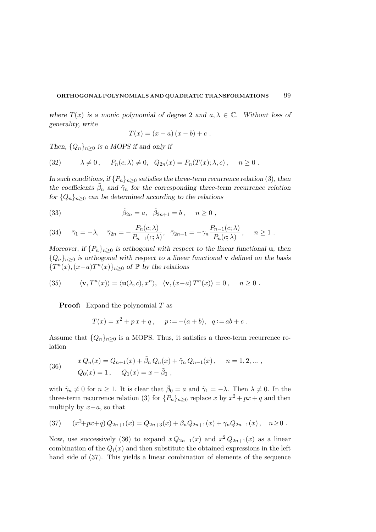where  $T(x)$  is a monic polynomial of degree 2 and  $a, \lambda \in \mathbb{C}$ . Without loss of generality, write

$$
T(x) = (x - a) (x - b) + c.
$$

Then,  $\{Q_n\}_{n>0}$  is a MOPS if and only if

(32) 
$$
\lambda \neq 0, \quad P_n(c; \lambda) \neq 0, \quad Q_{2n}(x) = P_n(T(x); \lambda, c), \quad n \geq 0.
$$

In such conditions, if  $\{P_n\}_{n>0}$  satisfies the three-term recurrence relation (3), then the coefficients  $\tilde{\beta}_n$  and  $\tilde{\gamma}_n$  for the corresponding three-term recurrence relation for  ${Q_n}_{n>0}$  can be determined according to the relations

(33) 
$$
\tilde{\beta}_{2n} = a, \quad \tilde{\beta}_{2n+1} = b, \quad n \ge 0,
$$

(34) 
$$
\tilde{\gamma}_1 = -\lambda, \quad \tilde{\gamma}_{2n} = -\frac{P_n(c;\lambda)}{P_{n-1}(c;\lambda)}, \quad \tilde{\gamma}_{2n+1} = -\gamma_n \frac{P_{n-1}(c;\lambda)}{P_n(c;\lambda)}, \quad n \ge 1.
$$

Moreover, if  $\{P_n\}_{n\geq 0}$  is orthogonal with respect to the linear functional **u**, then  ${Q_n}_{n>0}$  is orthogonal with respect to a linear functional **v** defined on the basis { $T<sup>n</sup>(x)$ ,  $(x-a)T<sup>n</sup>(x)$ }<sub>n≥0</sub> of  $\mathbb P$  by the relations

(35) 
$$
\langle \mathbf{v}, T^n(x) \rangle = \langle \mathbf{u}(\lambda, c), x^n \rangle, \quad \langle \mathbf{v}, (x-a) T^n(x) \rangle = 0, \quad n \ge 0.
$$

**Proof:** Expand the polynomial  $T$  as

$$
T(x) = x2 + px + q
$$
,  $p := -(a + b)$ ,  $q := ab + c$ .

Assume that  $\{Q_n\}_{n\geq 0}$  is a MOPS. Thus, it satisfies a three-term recurrence relation

(36) 
$$
x Q_n(x) = Q_{n+1}(x) + \tilde{\beta}_n Q_n(x) + \tilde{\gamma}_n Q_{n-1}(x), \quad n = 1, 2, ... ,
$$

$$
Q_0(x) = 1, \quad Q_1(x) = x - \tilde{\beta}_0 ,
$$

with  $\tilde{\gamma}_n \neq 0$  for  $n \geq 1$ . It is clear that  $\tilde{\beta}_0 = a$  and  $\tilde{\gamma}_1 = -\lambda$ . Then  $\lambda \neq 0$ . In the three-term recurrence relation (3) for  $\{P_n\}_{n\geq 0}$  replace x by  $x^2 + px + q$  and then multiply by  $x-a$ , so that

$$
(37) \qquad (x^2+px+q)Q_{2n+1}(x) = Q_{2n+3}(x) + \beta_n Q_{2n+1}(x) + \gamma_n Q_{2n-1}(x), \quad n \ge 0.
$$

Now, use successively (36) to expand  $x Q_{2n+1}(x)$  and  $x^2 Q_{2n+1}(x)$  as a linear combination of the  $Q_i(x)$  and then substitute the obtained expressions in the left hand side of (37). This yields a linear combination of elements of the sequence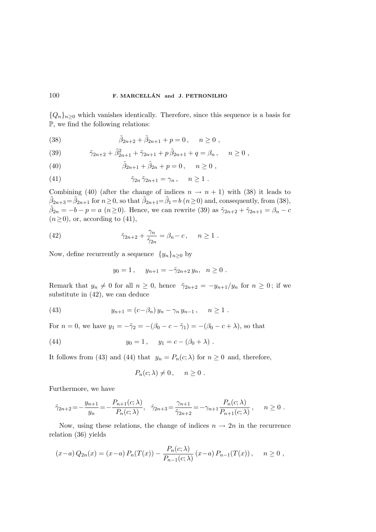${Q_n}_{n\geq 0}$  which vanishes identically. Therefore, since this sequence is a basis for P, we find the following relations:

(38) 
$$
\tilde{\beta}_{2n+2} + \tilde{\beta}_{2n+1} + p = 0, \quad n \ge 0,
$$

(39) 
$$
\tilde{\gamma}_{2n+2} + \tilde{\beta}_{2n+1}^2 + \tilde{\gamma}_{2n+1} + p \tilde{\beta}_{2n+1} + q = \beta_n, \quad n \ge 0,
$$

(40)  $\tilde{\beta}_{2n+1} + \tilde{\beta}_{2n} + p = 0, \quad n \ge 0,$ 

(41) 
$$
\tilde{\gamma}_{2n} \tilde{\gamma}_{2n+1} = \gamma_n, \quad n \ge 1.
$$

Combining (40) (after the change of indices  $n \to n+1$ ) with (38) it leads to  $\tilde{\beta}_{2n+3} = \tilde{\beta}_{2n+1}$  for  $n \ge 0$ , so that  $\tilde{\beta}_{2n+1} = \tilde{\beta}_1 = b \ (n \ge 0)$  and, consequently, from (38),  $\tilde{\beta}_{2n} = -b - p = a \ (n \ge 0)$ . Hence, we can rewrite (39) as  $\tilde{\gamma}_{2n+2} + \tilde{\gamma}_{2n+1} = \beta_n - c$  $(n\geq 0)$ , or, according to  $(41)$ ,

(42) 
$$
\tilde{\gamma}_{2n+2} + \frac{\gamma_n}{\tilde{\gamma}_{2n}} = \beta_n - c, \quad n \ge 1.
$$

Now, define recurrently a sequence  $\{y_n\}_{n\geq 0}$  by

$$
y_0 = 1
$$
,  $y_{n+1} = -\tilde{\gamma}_{2n+2} y_n$ ,  $n \ge 0$ .

Remark that  $y_n \neq 0$  for all  $n \geq 0$ , hence  $\tilde{\gamma}_{2n+2} = -y_{n+1}/y_n$  for  $n \geq 0$ ; if we substitute in (42), we can deduce

(43) 
$$
y_{n+1} = (c - \beta_n) y_n - \gamma_n y_{n-1}, \quad n \ge 1.
$$

For  $n = 0$ , we have  $y_1 = -\tilde{\gamma}_2 = -(\beta_0 - c - \tilde{\gamma}_1) = -(\beta_0 - c + \lambda)$ , so that

(44) 
$$
y_0 = 1, \quad y_1 = c - (\beta_0 + \lambda).
$$

It follows from (43) and (44) that  $y_n = P_n(c; \lambda)$  for  $n \geq 0$  and, therefore,

$$
P_n(c;\lambda) \neq 0\,, \quad n \geq 0\;.
$$

Furthermore, we have

$$
\tilde{\gamma}_{2n+2} = -\frac{y_{n+1}}{y_n} = -\frac{P_{n+1}(c;\lambda)}{P_n(c;\lambda)}, \quad \tilde{\gamma}_{2n+3} = \frac{\gamma_{n+1}}{\tilde{\gamma}_{2n+2}} = -\gamma_{n+1} \frac{P_n(c;\lambda)}{P_{n+1}(c;\lambda)}, \quad n \ge 0.
$$

Now, using these relations, the change of indices  $n \to 2n$  in the recurrence relation (36) yields

$$
(x-a) Q_{2n}(x) = (x-a) P_n(T(x)) - \frac{P_n(c; \lambda)}{P_{n-1}(c; \lambda)} (x-a) P_{n-1}(T(x)), \quad n \ge 0,
$$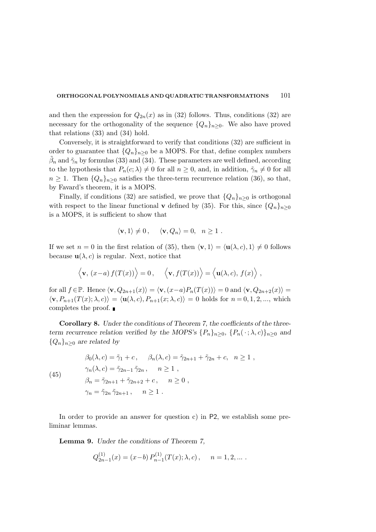and then the expression for  $Q_{2n}(x)$  as in (32) follows. Thus, conditions (32) are necessary for the orthogonality of the sequence  $\{Q_n\}_{n\geq 0}$ . We also have proved that relations (33) and (34) hold.

Conversely, it is straightforward to verify that conditions (32) are sufficient in order to guarantee that  ${Q_n}_{n>0}$  be a MOPS. For that, define complex numbers  $\tilde{\beta}_n$  and  $\tilde{\gamma}_n$  by formulas (33) and (34). These parameters are well defined, according to the hypothesis that  $P_n(c; \lambda) \neq 0$  for all  $n \geq 0$ , and, in addition,  $\tilde{\gamma}_n \neq 0$  for all  $n \geq 1$ . Then  $\{Q_n\}_{n>0}$  satisfies the three-term recurrence relation (36), so that, by Favard's theorem, it is a MOPS.

Finally, if conditions (32) are satisfied, we prove that  $\{Q_n\}_{n>0}$  is orthogonal with respect to the linear functional **v** defined by (35). For this, since  $\{Q_n\}_{n>0}$ is a MOPS, it is sufficient to show that

$$
\langle \mathbf{v}, 1 \rangle \neq 0, \quad \langle \mathbf{v}, Q_n \rangle = 0, \quad n \ge 1.
$$

If we set  $n = 0$  in the first relation of (35), then  $\langle \mathbf{v}, 1 \rangle = \langle \mathbf{u}(\lambda, c), 1 \rangle \neq 0$  follows because  $\mathbf{u}(\lambda, c)$  is regular. Next, notice that

$$
\langle \mathbf{v}, (x-a) f(T(x)) \rangle = 0, \quad \langle \mathbf{v}, f(T(x)) \rangle = \langle \mathbf{u}(\lambda, c), f(x) \rangle
$$

for all  $f \in \mathbb{P}$ . Hence  $\langle \mathbf{v}, Q_{2n+1}(x) \rangle = \langle \mathbf{v}, (x-a)P_n(T(x)) \rangle = 0$  and  $\langle \mathbf{v}, Q_{2n+2}(x) \rangle =$  $\langle \mathbf{v}, P_{n+1}(T(x);\lambda, c)\rangle = \langle \mathbf{u}(\lambda, c), P_{n+1}(x;\lambda, c)\rangle = 0$  holds for  $n = 0, 1, 2, \dots$ , which completes the proof.

Corollary 8. Under the conditions of Theorem 7, the coefficients of the threeterm recurrence relation verified by the MOPS's  $\{P_n\}_{n\geq 0}$ ,  $\{P_n(\cdot; \lambda, c)\}_{n\geq 0}$  and  ${Q_n}_{n>0}$  are related by

$$
(45)
$$

$$
\beta_0(\lambda, c) = \tilde{\gamma}_1 + c, \quad \beta_n(\lambda, c) = \tilde{\gamma}_{2n+1} + \tilde{\gamma}_{2n} + c, \quad n \ge 1,
$$
  
\n
$$
\gamma_n(\lambda, c) = \tilde{\gamma}_{2n-1} \tilde{\gamma}_{2n}, \quad n \ge 1,
$$
  
\n
$$
\beta_n = \tilde{\gamma}_{2n+1} + \tilde{\gamma}_{2n+2} + c, \quad n \ge 0,
$$
  
\n
$$
\gamma_n = \tilde{\gamma}_{2n} \tilde{\gamma}_{2n+1}, \quad n \ge 1.
$$

In order to provide an answer for question c) in P2, we establish some preliminar lemmas.

Lemma 9. Under the conditions of Theorem 7,

$$
Q_{2n-1}^{(1)}(x) = (x - b) P_{n-1}^{(1)}(T(x); \lambda, c), \quad n = 1, 2, ...
$$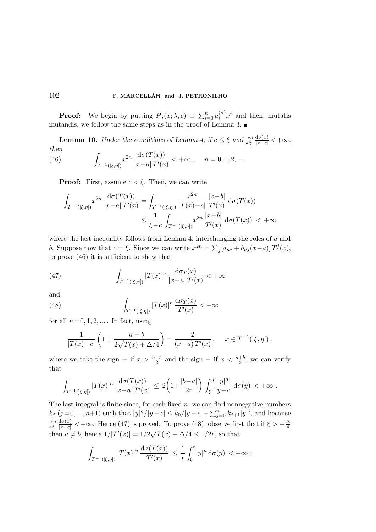**Proof:** We begin by putting  $P_n(x; \lambda, c) \equiv \sum_{i=0}^n a_i^{(n)} x^i$  and then, mutatis mutandis, we follow the same steps as in the proof of Lemma 3.

**Lemma 10.** Under the conditions of Lemma 4, if  $c \leq \xi$  and  $\int_{\xi}^{\eta}$  $\frac{d\sigma(x)}{|x-c|}<+\infty,$ then

(46) 
$$
\int_{T^{-1}(|\xi,\eta|)} x^{2n} \frac{d\sigma(T(x))}{|x-a| T'(x)} < +\infty, \quad n = 0, 1, 2, ...
$$

**Proof:** First, assume  $c < \xi$ . Then, we can write

$$
\int_{T^{-1}(\xi,\eta)} x^{2n} \frac{d\sigma(T(x))}{|x-a|T'(x)} = \int_{T^{-1}(\xi,\eta)} \frac{x^{2n}}{|T(x)-c|} \frac{|x-b|}{T'(x)} d\sigma(T(x))
$$
\n
$$
\leq \frac{1}{\xi-c} \int_{T^{-1}(\xi,\eta)} x^{2n} \frac{|x-b|}{T'(x)} d\sigma(T(x)) < +\infty
$$

where the last inequality follows from Lemma 4, interchanging the roles of a and b. Suppose now that  $c = \xi$ . Since we can write  $x^{2n} = \sum_j [a_{nj} + b_{nj}(x-a)] T^j(x)$ , to prove (46) it is sufficient to show that

(47) 
$$
\int_{T^{-1}(|\xi,\eta|)} |T(x)|^n \frac{d\sigma_T(x)}{|x-a| T'(x)} < +\infty
$$

and

(48) 
$$
\int_{T^{-1}(\xi,\eta)} |T(x)|^n \frac{d\sigma_T(x)}{T'(x)} < +\infty
$$

for all  $n=0, 1, 2, \ldots$ . In fact, using

$$
\frac{1}{|T(x)-c|} \left(1 \pm \frac{a-b}{2\sqrt{T(x)+\Delta/4}}\right) = \frac{2}{(x-a) T'(x)}, \quad x \in T^{-1}(|\xi, \eta|) ,
$$

where we take the sign + if  $x > \frac{a+b}{2}$  $\frac{+b}{2}$  and the sign – if  $x < \frac{a+b}{2}$  $\frac{+b}{2}$ , we can verify that

$$
\int_{T^{-1}(\xi,\eta)} |T(x)|^n \frac{d\sigma(T(x))}{|x-a|T'(x)} \, \leq \, 2\bigg(1 + \frac{|b-a|}{2r}\bigg) \, \int_{\xi}^{\eta} \frac{|y|^n}{|y-c|} \, d\sigma(y) \, < +\infty \, .
$$

The last integral is finite since, for each fixed  $n$ , we can find nonnegative numbers  $k_j$   $(j = 0, ..., n+1)$  such that  $|y|^n/|y - c| \le k_0/|y - c| + \sum_{j=0}^n k_{j+1}|y|^j$ , and because  $\int_{\xi}^{\eta}$  $\frac{d\sigma(x)}{|x-c|}$  < + $\infty$ . Hence (47) is proved. To prove (48), observe first that if  $\xi > -\frac{\Delta}{4}$ 4 then  $a \neq b$ , hence  $1/|T'(x)| = 1/2\sqrt{T(x) + \Delta/4} \leq 1/2r$ , so that

$$
\int_{T^{-1}(\xi,\eta)} |T(x)|^n \frac{d\sigma(T(x))}{T'(x)} \, \leq \, \frac{1}{r} \int_{\xi}^{\eta} |y|^n \, d\sigma(y) \, < +\infty \; ;
$$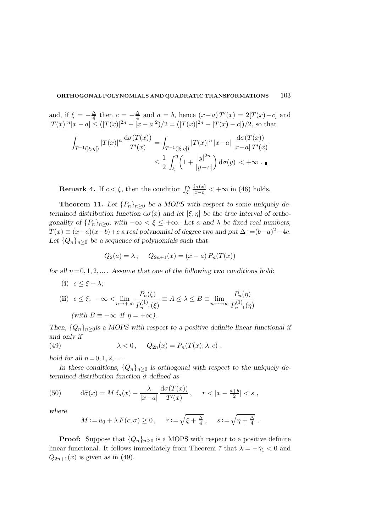and, if  $\xi = -\frac{\Delta}{4}$  $\frac{\Delta}{4}$  then  $c = -\frac{\Delta}{4}$  $\frac{\Delta}{4}$  and  $a = b$ , hence  $(x-a)T'(x) = 2[T(x)-c]$  and  $|T(x)|^n|x-a| \leq (|T(x)|^{2n}+|x-a|^2)/2 = (|T(x)|^{2n}+|T(x)-c|)/2$ , so that

$$
\int_{T^{-1}(\xi,\eta)} |T(x)|^n \frac{d\sigma(T(x))}{T'(x)} = \int_{T^{-1}(\xi,\eta)} |T(x)|^n |x-a| \frac{d\sigma(T(x))}{|x-a| T'(x)} \n\le \frac{1}{2} \int_{\xi}^{\eta} \left(1 + \frac{|y|^{2n}}{|y-c|}\right) d\sigma(y) < +\infty.
$$

**Remark 4.** If  $c < \xi$ , then the condition  $\int_{\xi}^{\eta}$  $\frac{d\sigma(x)}{|x-c|} < +\infty$  in (46) holds.

**Theorem 11.** Let  $\{P_n\}_{n\geq 0}$  be a MOPS with respect to some uniquely determined distribution function  $d\sigma(x)$  and let  $[\xi, \eta]$  be the true interval of orthogonality of  $\{P_n\}_{n\geq 0}$ , with  $-\infty < \xi \leq +\infty$ . Let a and  $\lambda$  be fixed real numbers,  $T(x) \equiv (x-a)(x-b)+c$  a real polynomial of degree two and put  $\Delta := (b-a)^2 - 4c$ . Let  $\{Q_n\}_{n\geq 0}$  be a sequence of polynomials such that

$$
Q_2(a) = \lambda
$$
,  $Q_{2n+1}(x) = (x - a) P_n(T(x))$ 

for all  $n=0, 1, 2, \ldots$ . Assume that one of the following two conditions hold:

(i)  $c \leq \xi + \lambda$ ;

(ii) 
$$
c \le \xi
$$
,  $-\infty < \lim_{n \to +\infty} \frac{P_n(\xi)}{P_{n-1}^{(1)}(\xi)} \equiv A \le \lambda \le B \equiv \lim_{n \to +\infty} \frac{P_n(\eta)}{P_{n-1}^{(1)}(\eta)}$   
(with  $B \equiv +\infty$  if  $\eta = +\infty$ ).

 $P_{n}$ 

Then,  $\{Q_n\}_{n\geq 0}$  is a MOPS with respect to a positive definite linear functional if and only if

(49) 
$$
\lambda < 0, \quad Q_{2n}(x) = P_n(T(x); \lambda, c),
$$

hold for all  $n=0, 1, 2, ...$ .

In these conditions,  $\{Q_n\}_{n\geq 0}$  is orthogonal with respect to the uniquely determined distribution function  $\tilde{\sigma}$  defined as

(50) 
$$
d\tilde{\sigma}(x) = M \, \delta_a(x) - \frac{\lambda}{|x-a|} \, \frac{d\sigma(T(x))}{T'(x)}, \quad r < |x - \frac{a+b}{2}| < s \,,
$$

where

$$
M := u_0 + \lambda F(c; \sigma) \ge 0
$$
,  $r := \sqrt{\xi + \frac{\Delta}{4}}$ ,  $s := \sqrt{\eta + \frac{\Delta}{4}}$ .

**Proof:** Suppose that  $\{Q_n\}_{n>0}$  is a MOPS with respect to a positive definite linear functional. It follows immediately from Theorem 7 that  $\lambda = -\tilde{\gamma}_1 < 0$  and  $Q_{2n+1}(x)$  is given as in (49).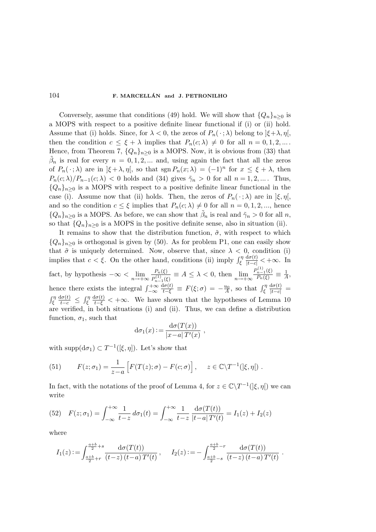Conversely, assume that conditions (49) hold. We will show that  $\{Q_n\}_{n>0}$  is a MOPS with respect to a positive definite linear functional if (i) or (ii) hold. Assume that (i) holds. Since, for  $\lambda < 0$ , the zeros of  $P_n(\cdot; \lambda)$  belong to  $|\xi + \lambda, \eta|$ , then the condition  $c \leq \xi + \lambda$  implies that  $P_n(c; \lambda) \neq 0$  for all  $n = 0, 1, 2, ...$ . Hence, from Theorem 7,  ${Q_n}_{n>0}$  is a MOPS. Now, it is obvious from (33) that  $\tilde{\beta}_n$  is real for every  $n = 0, 1, 2, ...$  and, using again the fact that all the zeros of  $P_n(\cdot; \lambda)$  are in  $]\xi + \lambda, \eta[$ , so that  $\text{sgn } P_n(x; \lambda) = (-1)^n$  for  $x \leq \xi + \lambda$ , then  $P_n(c; \lambda)/P_{n-1}(c; \lambda) < 0$  holds and (34) gives  $\tilde{\gamma}_n > 0$  for all  $n = 1, 2, ...$  Thus,  ${Q_n}_{n\geq 0}$  is a MOPS with respect to a positive definite linear functional in the case (i). Assume now that (ii) holds. Then, the zeros of  $P_n(\cdot; \lambda)$  are in  $|\xi, \eta|$ , and so the condition  $c \leq \xi$  implies that  $P_n(c; \lambda) \neq 0$  for all  $n = 0, 1, 2, \dots$ , hence  ${Q_n}_{n\geq 0}$  is a MOPS. As before, we can show that  $\tilde{\beta}_n$  is real and  $\tilde{\gamma}_n > 0$  for all n, so that  $\{Q_n\}_{n\geq 0}$  is a MOPS in the positive definite sense, also in situation (ii).

It remains to show that the distribution function,  $\tilde{\sigma}$ , with respect to which  ${Q_n}_{n>0}$  is orthogonal is given by (50). As for problem P1, one can easily show that  $\tilde{\sigma}$  is uniquely determined. Now, observe that, since  $\lambda < 0$ , condition (i) implies that  $c < \xi$ . On the other hand, conditions (ii) imply  $\int_{\xi}^{\eta}$  $\frac{d\sigma(t)}{|t-c|} < +\infty$ . In fact, by hypothesis  $-\infty < \lim_{n \to +\infty} \frac{P_n(\xi)}{P_{n-1}^{(1)}(\xi)}$  $\frac{P_n(\xi)}{P_{n-1}^{(1)}(\xi)} \equiv A \le \lambda < 0$ , then  $\lim_{n \to +\infty} \frac{P_{n-1}^{(1)}(\xi)}{P_n(\xi)}$  $\frac{\binom{n-1}{k}}{P_n(\xi)} \equiv \frac{1}{A}$  $\frac{1}{A}$ hence there exists the integral  $\int_{-\infty}^{+\infty}$  $\frac{d\sigma(t)}{t-\xi} \,\equiv\, F(\xi;\sigma) \,=\, -\frac{u_0}{A}, \,\,\text{so that}\,\,\int_{\xi}^{\eta}$  $\frac{\mathrm{d}\sigma(t)}{|t-c|} =$  $\int_{\xi}^{\eta}$  $\frac{\mathrm{d}\sigma(t)}{t-c} \leq \int_{\xi}^{\eta}$  $\frac{d\sigma(t)}{t-\xi}$  < + $\infty$ . We have shown that the hypotheses of Lemma 10 are verified, in both situations (i) and (ii). Thus, we can define a distribution function,  $\sigma_1$ , such that

$$
d\sigma_1(x) := \frac{d\sigma(T(x))}{|x-a| T'(x)},
$$

with supp $(d\sigma_1) \subset T^{-1}([\xi, \eta])$ . Let's show that

(51) 
$$
F(z; \sigma_1) = \frac{1}{z-a} \left[ F(T(z); \sigma) - F(c; \sigma) \right], \quad z \in \mathbb{C} \backslash T^{-1}(\mathcal{F}, \eta)
$$

In fact, with the notations of the proof of Lemma 4, for  $z \in \mathbb{C} \backslash T^{-1}(\mathcal{F}, \eta)$  we can write

(52) 
$$
F(z; \sigma_1) = \int_{-\infty}^{+\infty} \frac{1}{t-z} d\sigma_1(t) = \int_{-\infty}^{+\infty} \frac{1}{t-z} \frac{d\sigma(T(t))}{|t-a| T'(t)} = I_1(z) + I_2(z)
$$

where

$$
I_1(z) := \int_{\frac{a+b}{2}+r}^{\frac{a+b}{2}+s} \frac{d\sigma(T(t))}{(t-z)(t-a) T'(t)}, \qquad I_2(z) := -\int_{\frac{a+b}{2}-s}^{\frac{a+b}{2}-r} \frac{d\sigma(T(t))}{(t-z)(t-a) T'(t)}.
$$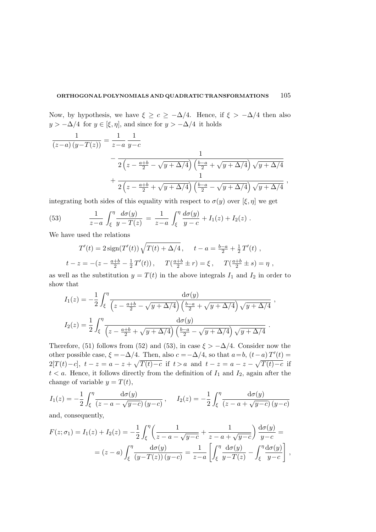Now, by hypothesis, we have  $\xi \geq c \geq -\Delta/4$ . Hence, if  $\xi > -\Delta/4$  then also  $y > -\Delta/4$  for  $y \in [\xi, \eta]$ , and since for  $y > -\Delta/4$  it holds

$$
\frac{1}{(z-a)(y-T(z))} = \frac{1}{z-a} \frac{1}{y-c}
$$
\n
$$
- \frac{1}{2(z-\frac{a+b}{2}-\sqrt{y+\Delta/4})(\frac{b-a}{2}+\sqrt{y+\Delta/4})\sqrt{y+\Delta/4}}
$$
\n
$$
+ \frac{1}{2(z-\frac{a+b}{2}+\sqrt{y+\Delta/4})(\frac{b-a}{2}-\sqrt{y+\Delta/4})\sqrt{y+\Delta/4}},
$$

integrating both sides of this equality with respect to  $\sigma(y)$  over  $[\xi, \eta]$  we get

(53) 
$$
\frac{1}{z-a} \int_{\xi}^{\eta} \frac{d\sigma(y)}{y-T(z)} = \frac{1}{z-a} \int_{\xi}^{\eta} \frac{d\sigma(y)}{y-c} + I_1(z) + I_2(z) .
$$

We have used the relations

$$
T'(t) = 2\operatorname{sign}(T'(t))\sqrt{T(t) + \Delta/4}, \quad t - a = \frac{b-a}{2} + \frac{1}{2}T'(t) ,
$$
  

$$
t - z = -(z - \frac{a+b}{2} - \frac{1}{2}T'(t)), \quad T(\frac{a+b}{2} \pm r) = \xi, \quad T(\frac{a+b}{2} \pm s) = \eta ,
$$

as well as the substitution  $y = T(t)$  in the above integrals  $I_1$  and  $I_2$  in order to show that

$$
I_1(z) = -\frac{1}{2} \int_{\xi}^{\eta} \frac{\mathrm{d}\sigma(y)}{\left(z - \frac{a+b}{2} - \sqrt{y + \Delta/4}\right) \left(\frac{b-a}{2} + \sqrt{y + \Delta/4}\right) \sqrt{y + \Delta/4}},
$$

$$
I_2(z) = \frac{1}{2} \int_{\xi}^{\eta} \frac{\mathrm{d}\sigma(y)}{\left(z - \frac{a+b}{2} + \sqrt{y + \Delta/4}\right) \left(\frac{b-a}{2} - \sqrt{y + \Delta/4}\right) \sqrt{y + \Delta/4}}.
$$

Therefore, (51) follows from (52) and (53), in case  $\xi > -\Delta/4$ . Consider now the other possible case,  $\xi = -\Delta/4$ . Then, also  $c = -\Delta/4$ , so that  $a = b$ ,  $(t - a) T'(t) =$ 2[T(t)-c],  $t - z = a - z + \sqrt{T(t) - c}$  if  $t > a$  and  $t - z = a - z - \sqrt{T(t) - c}$  if  $t < a$ . Hence, it follows directly from the definition of  $I_1$  and  $I_2$ , again after the change of variable  $y = T(t)$ ,

$$
I_1(z) = -\frac{1}{2} \int_{\xi}^{\eta} \frac{d\sigma(y)}{(z - a - \sqrt{y - c})(y - c)}, \quad I_2(z) = -\frac{1}{2} \int_{\xi}^{\eta} \frac{d\sigma(y)}{(z - a + \sqrt{y - c})(y - c)}
$$

and, consequently,

$$
F(z; \sigma_1) = I_1(z) + I_2(z) = -\frac{1}{2} \int_{\xi}^{\eta} \left( \frac{1}{z - a - \sqrt{y - c}} + \frac{1}{z - a + \sqrt{y - c}} \right) \frac{d\sigma(y)}{y - c} =
$$
  
=  $(z - a) \int_{\xi}^{\eta} \frac{d\sigma(y)}{(y - T(z)) (y - c)} = \frac{1}{z - a} \left[ \int_{\xi}^{\eta} \frac{d\sigma(y)}{y - T(z)} - \int_{\xi}^{\eta} \frac{d\sigma(y)}{y - c} \right],$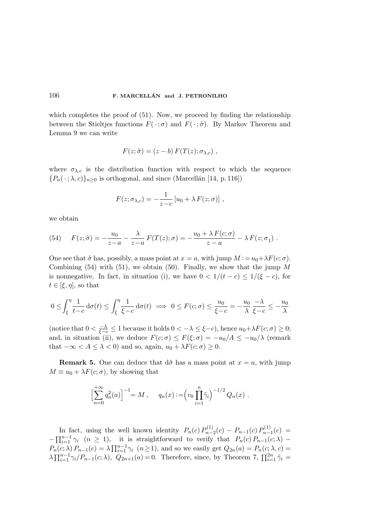which completes the proof of  $(51)$ . Now, we proceed by finding the relationship between the Stieltjes functions  $F(\cdot;\sigma)$  and  $F(\cdot;\tilde{\sigma})$ . By Markov Theorem and Lemma 9 we can write

$$
F(z; \tilde{\sigma}) = (z - b) F(T(z); \sigma_{\lambda, c}),
$$

where  $\sigma_{\lambda,c}$  is the distribution function with respect to which the sequence  ${P_n(\cdot; \lambda, c)}_{n\geq 0}$  is orthogonal, and since (Marcellán [14, p. 116])

$$
F(z; \sigma_{\lambda,c}) = -\frac{1}{z-c} [u_0 + \lambda F(z; \sigma)] ,
$$

we obtain

(54) 
$$
F(z;\tilde{\sigma}) = -\frac{u_0}{z-a} - \frac{\lambda}{z-a} F(T(z);\sigma) = -\frac{u_0 + \lambda F(c;\sigma)}{z-a} - \lambda F(z;\sigma_1).
$$

One see that  $\tilde{\sigma}$  has, possibly, a mass point at  $x = a$ , with jump  $M := u_0 + \lambda F(c; \sigma)$ . Combining  $(54)$  with  $(51)$ , we obtain  $(50)$ . Finally, we show that the jump M is nonnegative. In fact, in situation (i), we have  $0 < 1/(t - c) \leq 1/(\xi - c)$ , for  $t \in [\xi, \eta]$ , so that

$$
0 \le \int_{\xi}^{\eta} \frac{1}{t-c} d\sigma(t) \le \int_{\xi}^{\eta} \frac{1}{\xi-c} d\sigma(t) \implies 0 \le F(c; \sigma) \le \frac{u_0}{\xi-c} = -\frac{u_0}{\lambda} \frac{-\lambda}{\xi-c} \le -\frac{u_0}{\lambda}
$$

(notice that  $0 < \frac{-\lambda}{\xi-c} \leq 1$  because it holds  $0 < -\lambda \leq \xi-c$ ), hence  $u_0 + \lambda F(c; \sigma) \geq 0$ ; and, in situation (ii), we deduce  $F(c; \sigma) \leq F(\xi; \sigma) = -u_0/A \leq -u_0/\lambda$  (remark that  $-\infty < A \leq \lambda < 0$ ) and so, again,  $u_0 + \lambda F(c; \sigma) \geq 0$ .

**Remark 5.** One can deduce that  $d\tilde{\sigma}$  has a mass point at  $x = a$ , with jump  $M \equiv u_0 + \lambda F(c; \sigma)$ , by showing that

$$
\left[\sum_{n=0}^{+\infty} q_n^2(a)\right]^{-1} = M , \qquad q_n(x) := \left(v_0 \prod_{i=1}^n \tilde{\gamma}_i\right)^{-1/2} Q_n(x) .
$$

In fact, using the well known identity  $P_n(c) P_{n-}^{(1)}$  $P_{n-2}^{(1)}(c) - P_{n-1}(c) P_{n-1}^{(1)}(c)$  $\binom{N+1}{n-1}(c) =$  $-\prod_{i=1}^{n-1} \gamma_i$   $(n \geq 1)$ , it is straightforward to verify that  $P_n(c) P_{n-1}(c; \lambda)$  –  $P_n(c; \lambda) P_{n-1}(c) = \lambda \prod_{i=1}^{n-1} \gamma_i \ (n \ge 1)$ , and so we easily get  $Q_{2n}(a) = P_n(c; \lambda, c)$  $\lambda \prod_{i=1}^{n-1} \gamma_i / P_{n-1}(c; \lambda)$ ,  $Q_{2n+1}(a) = 0$ . Therefore, since, by Theorem 7,  $\prod_{i=1}^{2n} \tilde{\gamma}_i =$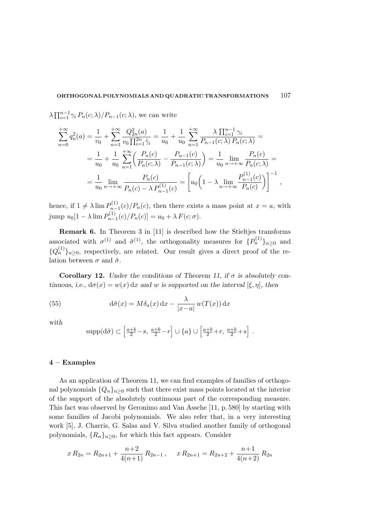$\lambda \prod_{i=1}^{n-1} \gamma_i P_n(c; \lambda) / P_{n-1}(c; \lambda)$ , we can write

$$
\sum_{n=0}^{+\infty} q_n^2(a) = \frac{1}{v_0} + \sum_{n=1}^{+\infty} \frac{Q_{2n}^2(a)}{v_0 \prod_{i=1}^{2n} \tilde{\gamma}_i} = \frac{1}{u_0} + \frac{1}{u_0} \sum_{n=1}^{+\infty} \frac{\lambda \prod_{i=1}^{n-1} \gamma_i}{P_{n-1}(c; \lambda) P_n(c; \lambda)} =
$$
  
\n
$$
= \frac{1}{u_0} + \frac{1}{u_0} \sum_{n=1}^{+\infty} \left( \frac{P_n(c)}{P_n(c; \lambda)} - \frac{P_{n-1}(c)}{P_{n-1}(c; \lambda)} \right) = \frac{1}{u_0} \lim_{n \to +\infty} \frac{P_n(c)}{P_n(c; \lambda)} =
$$
  
\n
$$
= \frac{1}{u_0} \lim_{n \to +\infty} \frac{P_n(c)}{P_n(c) - \lambda P_{n-1}^{(1)}(c)} = \left[ u_0 \left( 1 - \lambda \lim_{n \to +\infty} \frac{P_{n-1}^{(1)}(c)}{P_n(c)} \right) \right]^{-1},
$$

hence, if  $1 \neq \lambda \lim P_{n \to \infty}^{(1)}$  $n_{n-1}^{(1)}(c)/P_n(c)$ , then there exists a mass point at  $x = a$ , with jump  $u_0[1-\lambda \lim P_{n-}^{(1)}]$  $p_{n-1}^{(1)}(c)/P_n(c)]=u_0+\lambda F(c;\sigma).$ 

Remark 6. In Theorem 3 in [11] is described how the Stieltjes transforms associated with  $\sigma^{(1)}$  and  $\tilde{\sigma}^{(1)}$ , the orthogonality measures for  $\{P_n^{(1)}\}_{n\geq 0}$  and  $\{Q_n^{(1)}\}_{n\geq 0}$ , respectively, are related. Our result gives a direct proof of the relation between  $\sigma$  and  $\tilde{\sigma}$ .

Corollary 12. Under the conditions of Theorem 11, if  $\sigma$  is absolutely continuous, i.e.,  $d\sigma(x) = w(x) dx$  and w is supported on the interval  $[\xi, \eta]$ , then

(55) 
$$
d\tilde{\sigma}(x) = M\delta_a(x) dx - \frac{\lambda}{|x-a|} w(T(x)) dx
$$

with

$$
\text{supp}(\text{d}\tilde{\sigma}) \subset \left[\frac{a+b}{2} - s, \frac{a+b}{2} - r\right] \cup \{a\} \cup \left[\frac{a+b}{2} + r, \frac{a+b}{2} + s\right].
$$

# 4 – Examples

As an application of Theorem 11, we can find examples of families of orthogonal polynomials  $\{Q_n\}_{n>0}$  such that there exist mass points located at the interior of the support of the absolutely continuous part of the corresponding measure. This fact was observed by Geronimo and Van Assche [11, p. 580] by starting with some families of Jacobi polynomials. We also refer that, in a very interesting work [5], J. Charris, G. Salas and V. Silva studied another family of orthogonal polynomials,  $\{R_n\}_{n\geq 0}$ , for which this fact appears. Consider

$$
x R_{2n} = R_{2n+1} + \frac{n+2}{4(n+1)} R_{2n-1}, \quad x R_{2n+1} = R_{2n+2} + \frac{n+1}{4(n+2)} R_{2n}
$$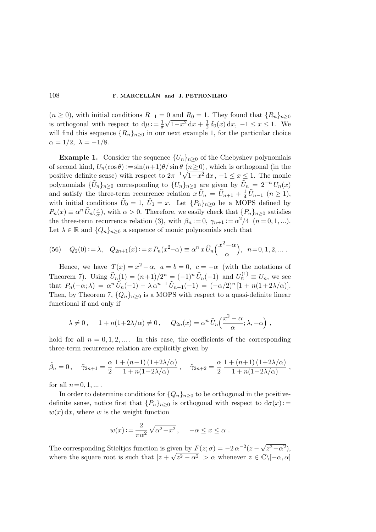$(n \geq 0)$ , with initial conditions  $R_{-1} = 0$  and  $R_0 = 1$ . They found that  $\{R_n\}_{n\geq 0}$ is orthogonal with respect to  $d\mu = \frac{1}{\pi}$ π  $\sqrt{1-x^2} dx + \frac{1}{2}$  $\frac{1}{2} \delta_0(x) dx$ ,  $-1 \le x \le 1$ . We will find this sequence  $\{R_n\}_{n\geq 0}$  in our next example 1, for the particular choice  $\alpha = 1/2, \lambda = -1/8.$ 

**Example 1.** Consider the sequence  ${U_n}_{n>0}$  of the Chebyshev polynomials of second kind,  $U_n(\cos \theta) := \sin(n+1)\theta/\sin \theta$   $(n \ge 0)$ , which is orthogonal (in the positive definite sense) with respect to  $2\pi^{-1}\sqrt{1-x^2} dx$ ,  $-1 \le x \le 1$ . The monic polynomials  $\{\widehat{U}_n\}_{n\geq 0}$  corresponding to  $\{U_n\}_{n\geq 0}$  are given by  $\widehat{U}_n = 2^{-n} U_n(x)$ and satisfy the three-term recurrence relation  $x\,\hat{U}_n = \hat{U}_{n+1} + \frac{1}{4}$  $\frac{1}{4}U_{n-1}$   $(n \geq 1),$ with initial conditions  $U_0 = 1, U_1 = x$ . Let  ${P_n}_{n\geq 0}$  be a MOPS defined by  $P_n(x) \equiv \alpha^n \,\widehat{U}_n(\frac{x}{\alpha})$  $\frac{x}{\alpha}$ ), with  $\alpha > 0$ . Therefore, we easily check that  $\{P_n\}_{n \geq 0}$  satisfies the three-term recurrence relation (3), with  $\beta_n := 0$ ,  $\gamma_{n+1} := \alpha^2/4$  ( $n = 0, 1, ...$ ). Let  $\lambda \in \mathbb{R}$  and  $\{Q_n\}_{n\geq 0}$  a sequence of monic polynomials such that

(56) 
$$
Q_2(0) := \lambda
$$
,  $Q_{2n+1}(x) := x P_n(x^2 - \alpha) \equiv \alpha^n x \widehat{U}_n\left(\frac{x^2 - \alpha}{\alpha}\right)$ ,  $n = 0, 1, 2, ...$ 

Hence, we have  $T(x) = x^2 - \alpha$ ,  $a = b = 0$ ,  $c = -\alpha$  (with the notations of Theorem 7). Using  $\widehat{U}_n(1) = (n+1)/2^n = (-1)^n \widehat{U}_n(-1)$  and  $U_n^{(1)} \equiv U_n$ , we see that  $P_n(-\alpha; \lambda) = \alpha^n \,\hat{U}_n(-1) - \lambda \,\alpha^{n-1} \,\hat{U}_{n-1}(-1) = (-\alpha/2)^n [1 + n(1+2\lambda/\alpha)].$ Then, by Theorem 7,  ${Q_n}_{n>0}$  is a MOPS with respect to a quasi-definite linear functional if and only if

$$
\lambda \neq 0
$$
,  $1 + n(1+2\lambda/\alpha) \neq 0$ ,  $Q_{2n}(x) = \alpha^n \widehat{U}_n\left(\frac{x^2 - \alpha}{\alpha}; \lambda, -\alpha\right)$ ,

hold for all  $n = 0, 1, 2, \dots$ . In this case, the coefficients of the corresponding three-term recurrence relation are explicitly given by

$$
\tilde{\beta}_n = 0
$$
,  $\tilde{\gamma}_{2n+1} = \frac{\alpha}{2} \frac{1 + (n-1)(1+2\lambda/\alpha)}{1 + n(1+2\lambda/\alpha)}$ ,  $\tilde{\gamma}_{2n+2} = \frac{\alpha}{2} \frac{1 + (n+1)(1+2\lambda/\alpha)}{1 + n(1+2\lambda/\alpha)}$ ,

for all  $n=0, 1, \ldots$ .

In order to determine conditions for  $\{Q_n\}_{n\geq 0}$  to be orthogonal in the positivedefinite sense, notice first that  $\{P_n\}_{n\geq 0}$  is orthogonal with respect to  $d\sigma(x)$ :  $w(x) dx$ , where w is the weight function

$$
w(x) := \frac{2}{\pi \alpha^2} \sqrt{\alpha^2 - x^2}, \quad -\alpha \le x \le \alpha.
$$

The corresponding Stieltjes function is given by  $F(z; \sigma) = -2\alpha^{-2}(z - \sqrt{z^2 - \alpha^2}),$ where the square root is such that  $|z + \sqrt{z^2 - \alpha^2}| > \alpha$  whenever  $z \in \mathbb{C} \setminus [-\alpha, \alpha]$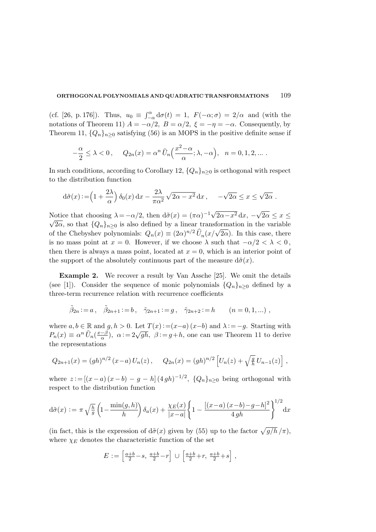(cf. [26, p. 176]). Thus,  $u_0 \equiv \int_{-\alpha}^{\alpha} d\sigma(t) = 1$ ,  $F(-\alpha; \sigma) = 2/\alpha$  and (with the notations of Theorem 11)  $A = -\alpha/2$ ,  $B = \alpha/2$ ,  $\xi = -\eta = -\alpha$ . Consequently, by Theorem 11,  $\{Q_n\}_{n\geq 0}$  satisfying (56) is an MOPS in the positive definite sense if

$$
-\frac{\alpha}{2} \leq \lambda < 0 \,, \quad Q_{2n}(x) = \alpha^n \,\widehat{U}_n\left(\frac{x^2 - \alpha}{\alpha}; \lambda, -\alpha\right), \quad n = 0, 1, 2, \dots \,.
$$

In such conditions, according to Corollary 12,  $\{Q_n\}_{n>0}$  is orthogonal with respect to the distribution function

$$
d\tilde{\sigma}(x) := \left(1 + \frac{2\lambda}{\alpha}\right)\delta_0(x) dx - \frac{2\lambda}{\pi\alpha^2}\sqrt{2\alpha - x^2} dx, \quad -\sqrt{2\alpha} \le x \le \sqrt{2\alpha}.
$$

Notice that choosing  $\lambda = -\alpha/2$ , then  $d\tilde{\sigma}(x) = (\pi \alpha)^{-1} \sqrt{2\alpha - x^2} dx$ ,  $-\sqrt{2\alpha} \le x \le \alpha$  $\sqrt{2\alpha}$ , so that  $\{Q_n\}_{n\geq 0}$  is also defined by a linear transformation in the variable of the Chebyshev polynomials:  $Q_n(x) \equiv (2\alpha)^{n/2} \hat{U}_n(x/\sqrt{2\alpha})$ . In this case, there is no mass point at  $x = 0$ . However, if we choose  $\lambda$  such that  $-\alpha/2 < \lambda < 0$ , then there is always a mass point, located at  $x = 0$ , which is an interior point of the support of the absolutely continuous part of the measure  $d\tilde{\sigma}(x)$ .

Example 2. We recover a result by Van Assche [25]. We omit the details (see [1]). Consider the sequence of monic polynomials  $\{Q_n\}_{n>0}$  defined by a three-term recurrence relation with recurrence coefficients

$$
\tilde{\beta}_{2n} := a
$$
,  $\tilde{\beta}_{2n+1} := b$ ,  $\tilde{\gamma}_{2n+1} := g$ ,  $\tilde{\gamma}_{2n+2} := h$   $(n = 0, 1, ...)$ ,

where  $a, b \in \mathbb{R}$  and  $g, h > 0$ . Let  $T(x) := (x-a)(x-b)$  and  $\lambda := -g$ . Starting with  $P_n(x) \equiv \alpha^n \,\hat{U}_n(\frac{x-\beta}{\alpha})$  $\frac{a-\beta}{\alpha}$ ,  $\alpha := 2\sqrt{gh}$ ,  $\beta := g+h$ , one can use Theorem 11 to derive the representations

$$
Q_{2n+1}(x) = (gh)^{n/2} (x-a) U_n(z), \qquad Q_{2n}(x) = (gh)^{n/2} \left[ U_n(z) + \sqrt{\frac{g}{h}} U_{n-1}(z) \right],
$$

where  $z := [(x-a)(x-b) - g - h] (4gh)^{-1/2}$ ,  ${Q_n}_{n \ge 0}$  being orthogonal with respect to the distribution function

$$
d\tilde{\sigma}(x) := \pi \sqrt{\frac{h}{g}} \left( 1 - \frac{\min(g, h)}{h} \right) \delta_a(x) + \frac{\chi_E(x)}{|x - a|} \left\{ 1 - \frac{[(x - a)(x - b) - g - h]^2}{4gh} \right\}^{1/2} dx
$$

(in fact, this is the expression of  $d\tilde{\sigma}(x)$  given by (55) up to the factor  $\sqrt{g/h}/\pi$ ), where  $\chi_E$  denotes the characteristic function of the set

$$
E := \left[\frac{a+b}{2} - s, \frac{a+b}{2} - r\right] \cup \left[\frac{a+b}{2} + r, \frac{a+b}{2} + s\right],
$$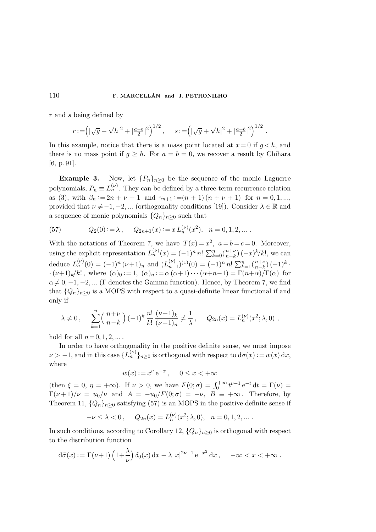r and s being defined by

$$
r := \left( |\sqrt{g} - \sqrt{h}|^2 + |\frac{a-b}{2}|^2 \right)^{1/2}, \quad s := \left( |\sqrt{g} + \sqrt{h}|^2 + |\frac{a-b}{2}|^2 \right)^{1/2}.
$$

In this example, notice that there is a mass point located at  $x = 0$  if  $g < h$ , and there is no mass point if  $g \geq h$ . For  $a = b = 0$ , we recover a result by Chihara [6, p. 91].

**Example 3.** Now, let  $\{P_n\}_{n\geq 0}$  be the sequence of the monic Laguerre polynomials,  $P_n \equiv L_n^{(\nu)}$ . They can be defined by a three-term recurrence relation as (3), with  $\beta_n := 2n + \nu + 1$  and  $\gamma_{n+1} := (n+1)(n + \nu + 1)$  for  $n = 0, 1, ...$ provided that  $\nu \neq -1, -2, ...$  (orthogonality conditions [19]). Consider  $\lambda \in \mathbb{R}$  and a sequence of monic polynomials  $\{Q_n\}_{n\geq 0}$  such that

(57) 
$$
Q_2(0) := \lambda
$$
,  $Q_{2n+1}(x) := x L_n^{(\nu)}(x^2)$ ,  $n = 0, 1, 2, ...$ 

With the notations of Theorem 7, we have  $T(x) = x^2$ ,  $a = b = c = 0$ . Moreover, using the explicit representation  $L_n^{(\nu)}(x) = (-1)^n n! \sum_{k=0}^n {n+\nu \choose n-k}$  $_{n-k}^{n+\nu}$ )  $(-x)^k/k!$ , we can deduce  $L_n^{(\nu)}(0) = (-1)^n (\nu+1)_n$  and  $(L_{n-1}^{(\nu)})$  $_{n-1}^{(\nu)}$  $)^{(1)}(0) = (-1)^n n! \sum_{k=1}^n$  $\binom{n+\nu}{n-k}$  $_{n-k}^{n+\nu}$ )  $(-1)^k$ .  $\cdot(\nu+1)_k/k!$ , where  $(\alpha)_0:=1$ ,  $(\alpha)_n:=\alpha(\alpha+1)\cdots(\alpha+n-1)=\Gamma(n+\alpha)/\Gamma(\alpha)$  for  $\alpha \neq 0, -1, -2, \dots$  (Γ denotes the Gamma function). Hence, by Theorem 7, we find that  ${Q_n}_{n>0}$  is a MOPS with respect to a quasi-definite linear functional if and only if

$$
\lambda \neq 0
$$
,  $\sum_{k=1}^{n} {n+\nu \choose n-k} (-1)^k \frac{n!}{k!} \frac{(\nu+1)_k}{(\nu+1)_n} \neq \frac{1}{\lambda}$ ,  $Q_{2n}(x) = L_n^{(\nu)}(x^2; \lambda, 0)$ ,

hold for all  $n=0, 1, 2, \ldots$ .

In order to have orthogonality in the positive definite sense, we must impose  $\nu > -1$ , and in this case  ${L_n^{(\nu)}}_{n \geq 0}$  is orthogonal with respect to  $d\sigma(x) := w(x) dx$ , where

$$
w(x) := x^{\nu} e^{-x}
$$
,  $0 \le x < +\infty$ 

(then  $\xi = 0$ ,  $\eta = +\infty$ ). If  $\nu > 0$ , we have  $F(0; \sigma) = \int_0^{+\infty} t^{\nu-1} e^{-t} dt = \Gamma(\nu) =$  $\Gamma(\nu+1)/\nu = u_0/\nu$  and  $A = -u_0/F(0;\sigma) = -\nu$ ,  $B \equiv +\infty$ . Therefore, by Theorem 11,  $\{Q_n\}_{n\geq 0}$  satisfying (57) is an MOPS in the positive definite sense if

$$
-\nu \le \lambda < 0, \quad Q_{2n}(x) = L_n^{(\nu)}(x^2; \lambda, 0), \quad n = 0, 1, 2, \dots.
$$

In such conditions, according to Corollary 12,  $\{Q_n\}_{n>0}$  is orthogonal with respect to the distribution function

$$
d\tilde{\sigma}(x) := \Gamma(\nu+1) \left(1 + \frac{\lambda}{\nu}\right) \delta_0(x) dx - \lambda |x|^{2\nu-1} e^{-x^2} dx, \quad -\infty < x < +\infty.
$$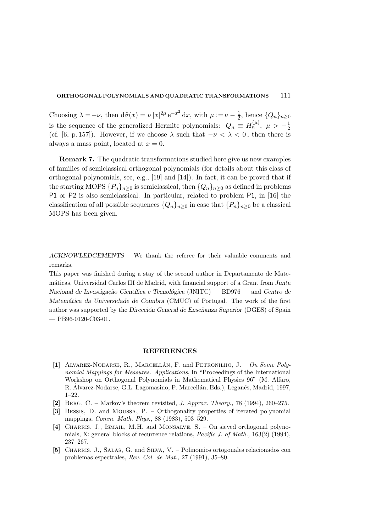Choosing  $\lambda = -\nu$ , then  $d\tilde{\sigma}(x) = \nu |x|^{2\mu} e^{-x^2} dx$ , with  $\mu := \nu - \frac{1}{2}$  $\frac{1}{2}$ , hence  $\{Q_n\}_{n\geq 0}$ is the sequence of the generalized Hermite polynomials:  $Q_n \equiv H_n^{(\mu)}$ ,  $\mu > -\frac{1}{2}$ 2 (cf. [6, p. 157]). However, if we choose  $\lambda$  such that  $-\nu < \lambda < 0$ , then there is always a mass point, located at  $x = 0$ .

Remark 7. The quadratic transformations studied here give us new examples of families of semiclassical orthogonal polynomials (for details about this class of orthogonal polynomials, see, e.g., [19] and [14]). In fact, it can be proved that if the starting MOPS  $\{P_n\}_{n\geq 0}$  is semiclassical, then  $\{Q_n\}_{n\geq 0}$  as defined in problems P1 or P2 is also semiclassical. In particular, related to problem P1, in [16] the classification of all possible sequences  ${Q_n}_{n>0}$  in case that  ${P_n}_{n>0}$  be a classical MOPS has been given.

ACKNOWLEDGEMENTS – We thank the referee for their valuable comments and remarks.

This paper was finished during a stay of the second author in Departamento de Matem´aticas, Universidad Carlos III de Madrid, with financial support of a Grant from Junta Nacional de Investigação Científica e Tecnológica (JNITC) — BD976 — and Centro de Matemática da Universidade de Coimbra (CMUC) of Portugal. The work of the first author was supported by the Dirección General de Enseñanza Superior (DGES) of Spain  $-$  PB96-0120-C03-01.

#### REFERENCES

- [1] ALVAREZ-NODARSE, R., MARCELLÁN, F. and PETRONILHO,  $J. On Some Polu$ nomial Mappings for Measures. Applications, In "Proceedings of the International Workshop on Orthogonal Polynomials in Mathematical Physics 96" (M. Alfaro, R. Álvarez-Nodarse, G.L. Lagomasino, F. Marcellán, Eds.), Leganés, Madrid, 1997, 1–22.
- [2] Berg, C. Markov's theorem revisited, J. Approx. Theory., 78 (1994), 260–275.
- [3] Bessis, D. and Moussa, P. Orthogonality properties of iterated polynomial mappings, Comm. Math. Phys., 88 (1983), 503–529.
- [4] Charris, J., Ismail, M.H. and Monsalve, S. On sieved orthogonal polynomials, X: general blocks of recurrence relations, Pacific J. of Math., 163(2) (1994), 237–267.
- [5] Charris, J., Salas, G. and Silva, V. Polinomios ortogonales relacionados con problemas espectrales, Rev. Col. de Mat., 27 (1991), 35–80.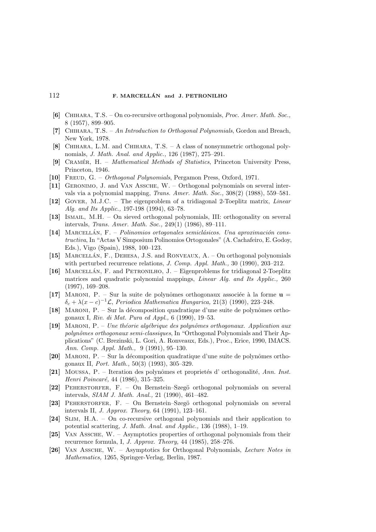- [6] Chihara, T.S. On co-recursive orthogonal polynomials, Proc. Amer. Math. Soc., 8 (1957), 899–905.
- [7] Chihara, T.S. An Introduction to Orthogonal Polynomials, Gordon and Breach, New York, 1978.
- [8] Chihara, L.M. and Chihara, T.S. A class of nonsymmetric orthogonal polynomials, J. Math. Anal. and Applic., 126 (1987), 275–291.
- [9] CRAMÉR, H. Mathematical Methods of Statistics, Princeton University Press, Princeton, 1946.
- [10] FREUD, G. Orthogonal Polynomials, Pergamon Press, Oxford, 1971.
- [11] Geronimo, J. and Van Assche, W. Orthogonal polynomials on several intervals via a polynomial mapping, Trans. Amer. Math. Soc., 308(2) (1988), 559–581.
- [12] Gover, M.J.C. The eigenproblem of a tridiagonal 2-Toeplitz matrix, Linear Alg. and Its Applic., 197-198 (1994), 63–78.
- [13] Ismail, M.H. On sieved orthogonal polynomials, III: orthogonality on several intervals, Trans. Amer. Math. Soc., 249(1) (1986), 89–111.
- $[14]$  MARCELLÁN,  $F = Polinomios$  ortogonales semiclásicos. Una aproximación constructiva, In "Actas V Simposium Polinomios Ortogonales" (A. Cachafeiro, E. Godoy, Eds.), Vigo (Spain), 1988, 100–123.
- [15] MARCELLÁN, F., DEHESA, J.S. and RONVEAUX, A. On orthogonal polynomials with perturbed recurrence relations, J. Comp. Appl. Math., 30 (1990), 203-212.
- [16] MARCELLAN, F. and PETRONILHO, J. Eigenproblems for tridiagonal 2-Toeplitz matrices and quadratic polynomial mappings, Linear Alg. and Its Applic., 260 (1997), 169–208.
- [17] MARONI, P. Sur la suite de polynômes orthogonaux associée à la forme  $\mathbf{u} =$  $\delta_c + \lambda (x-c)^{-1} \mathcal{L}$ , Periodica Mathematica Hungarica, 21(3) (1990), 223-248.
- [18] MARONI,  $P S$ ur la décomposition quadratique d'une suite de polynômes orthogonaux I, Riv. di Mat. Pura ed Appl., 6 (1990), 19–53.
- [19] MARONI, P. Une théorie algébrique des polynômes orthogonaux. Application aux polynômes orthogonaux semi-classiques, In "Orthogonal Polynomials and Their Applications" (C. Brezinski, L. Gori, A. Ronveaux, Eds.), Proc., Erice, 1990, IMACS. Ann. Comp. Appl. Math., 9 (1991), 95–130.
- [20] MARONI,  $P S$ ur la décomposition quadratique d'une suite de polynômes orthogonaux II, Port. Math., 50(3) (1993), 305–329.
- [21] Moussa, P. Iteration des polynômes et proprietés d'orthogonalité, Ann. Inst. Henri Poincaré, 44 (1986), 315–325.
- [22] PEHERSTORFER, F. On Bernstein–Szegö orthogonal polynomials on several intervals, SIAM J. Math. Anal., 21 (1990), 461–482.
- [23] Peherstorfer, F. On Bernstein–Szeg¨o orthogonal polynomials on several intervals II, J. Approx. Theory, 64 (1991), 123–161.
- [24] Slim, H.A. On co-recursive orthogonal polynomials and their application to potential scattering, J. Math. Anal. and Applic., 136 (1988), 1–19.
- [25] Van Assche, W. Asymptotics properties of orthogonal polynomials from their recurrence formula, I, J. Approx. Theory, 44 (1985), 258–276.
- [26] Van Assche, W. Asymptotics for Orthogonal Polynomials, Lecture Notes in Mathematics, 1265, Springer-Verlag, Berlin, 1987.